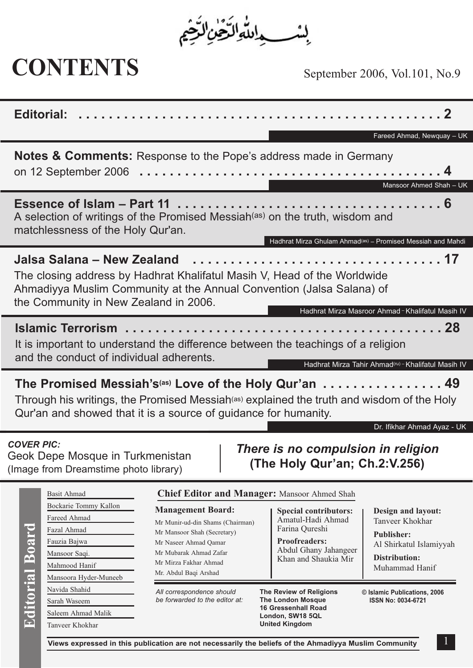إشك واللوالتخان الكرهم

### CONTENTS September 2006, Vol.101, No.9

| <b>Editorial:</b>                                                                                                                                                                                                                                        |                                                                                                                                                                                                  |                                                                                                                                       |                                                                                                                          |
|----------------------------------------------------------------------------------------------------------------------------------------------------------------------------------------------------------------------------------------------------------|--------------------------------------------------------------------------------------------------------------------------------------------------------------------------------------------------|---------------------------------------------------------------------------------------------------------------------------------------|--------------------------------------------------------------------------------------------------------------------------|
|                                                                                                                                                                                                                                                          |                                                                                                                                                                                                  |                                                                                                                                       | Fareed Ahmad, Newquay - UK                                                                                               |
| <b>Notes &amp; Comments:</b> Response to the Pope's address made in Germany                                                                                                                                                                              |                                                                                                                                                                                                  |                                                                                                                                       |                                                                                                                          |
| Essence of Islam – Part 11 $\ldots$ ,<br>A selection of writings of the Promised Messiah(as) on the truth, wisdom and<br>matchlessness of the Holy Qur'an.                                                                                               |                                                                                                                                                                                                  |                                                                                                                                       | Mansoor Ahmed Shah - UK<br>6<br>Hadhrat Mirza Ghulam Ahmad <sup>(as)</sup> - Promised Messiah and Mahdi                  |
| Jalsa Salana - New Zealand<br>The closing address by Hadhrat Khalifatul Masih V, Head of the Worldwide<br>Ahmadiyya Muslim Community at the Annual Convention (Jalsa Salana) of<br>the Community in New Zealand in 2006.                                 |                                                                                                                                                                                                  |                                                                                                                                       | 17<br>Hadhrat Mirza Masroor Ahmad - Khalifatul Masih IV                                                                  |
| Islamic Terrorism<br>It is important to understand the difference between the teachings of a religion<br>and the conduct of individual adherents.                                                                                                        |                                                                                                                                                                                                  |                                                                                                                                       | . 28<br>Hadhrat Mirza Tahir Ahmad(ru) - Khalifatul Masih IV                                                              |
| The Promised Messiah's $(as)$ Love of the Holy Qur'an $\ldots \ldots \ldots$<br>Through his writings, the Promised Messiah <sup>(as)</sup> explained the truth and wisdom of the Holy<br>Qur'an and showed that it is a source of guidance for humanity. |                                                                                                                                                                                                  |                                                                                                                                       | 49<br>Dr. Ifikhar Ahmad Ayaz - UK                                                                                        |
| <b>COVER PIC:</b><br>Geok Depe Mosque in Turkmenistan<br>(Image from Dreamstime photo library)                                                                                                                                                           |                                                                                                                                                                                                  | There is no compulsion in religion<br>(The Holy Qur'an; Ch.2:V.256)                                                                   |                                                                                                                          |
| Basit Ahmad                                                                                                                                                                                                                                              |                                                                                                                                                                                                  | Chief Editor and Manager: Mansoor Ahmed Shah                                                                                          |                                                                                                                          |
| Bockarie Tommy Kallon<br>Fareed Ahmad<br>Editorial Board<br>Fazal Ahmad<br>Fauzia Bajwa<br>Mansoor Saqi.<br>Mahmood Hanif<br>Mansoora Hyder-Muneeb                                                                                                       | <b>Management Board:</b><br>Mr Munir-ud-din Shams (Chairman)<br>Mr Mansoor Shah (Secretary)<br>Mr Naseer Ahmad Qamar<br>Mr Mubarak Ahmad Zafar<br>Mr Mirza Fakhar Ahmad<br>Mr. Abdul Baqi Arshad | <b>Special contributors:</b><br>Amatul-Hadi Ahmad<br>Farina Qureshi<br>Proofreaders:<br>Abdul Ghany Jahangeer<br>Khan and Shaukia Mir | Design and layout:<br>Tanveer Khokhar<br><b>Publisher:</b><br>Al Shirkatul Islamiyyah<br>Distribution:<br>Muhammad Hanif |
| Navida Shahid<br>Sarah Waseem<br>Saleem Ahmad Malik<br>Tanveer Khokhar                                                                                                                                                                                   | All correspondence should<br>be forwarded to the editor at:<br>Views expressed in this publication are not necessarily the beliefs of the Ahmadiyya Muslim Community                             | The Review of Religions<br><b>The London Mosque</b><br><b>16 Gressenhall Road</b><br>London, SW18 5QL<br><b>United Kingdom</b>        | © Islamic Publications, 2006<br>ISSN No: 0034-6721                                                                       |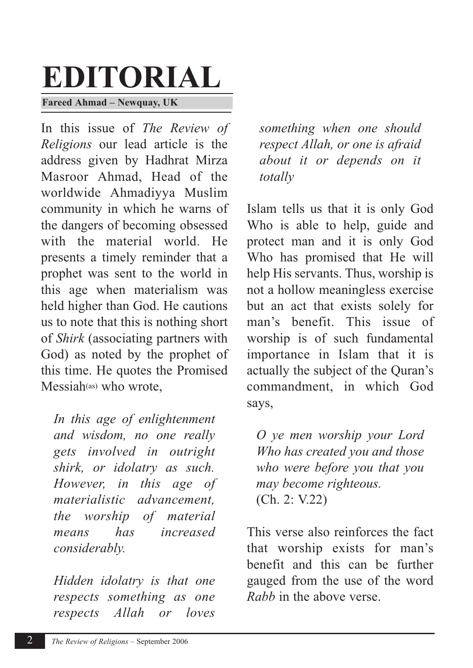## **EDITORIAL**

**Fareed Ahmad – Newquay, UK**

In this issue of *The Review of Religions* our lead article is the address given by Hadhrat Mirza Masroor Ahmad, Head of the worldwide Ahmadiyya Muslim community in which he warns of the dangers of becoming obsessed with the material world. He presents a timely reminder that a prophet was sent to the world in this age when materialism was held higher than God. He cautions us to note that this is nothing short of *Shirk* (associating partners with God) as noted by the prophet of this time. He quotes the Promised Messiah<sup>(as)</sup> who wrote,

*In this age of enlightenment and wisdom, no one really gets involved in outright shirk, or idolatry as such. However, in this age of materialistic advancement, the worship of material means has increased considerably.*

*Hidden idolatry is that one respects something as one respects Allah or loves*

*something when one should respect Allah, or one is afraid about it or depends on it totally*

Islam tells us that it is only God Who is able to help, guide and protect man and it is only God Who has promised that He will help His servants. Thus, worship is not a hollow meaningless exercise but an act that exists solely for man's benefit. This issue of worship is of such fundamental importance in Islam that it is actually the subject of the Quran's commandment, in which God says,

*O ye men worship your Lord Who has created you and those who were before you that you may become righteous.* (Ch. 2: V.22)

This verse also reinforces the fact that worship exists for man's benefit and this can be further gauged from the use of the word *Rabb* in the above verse.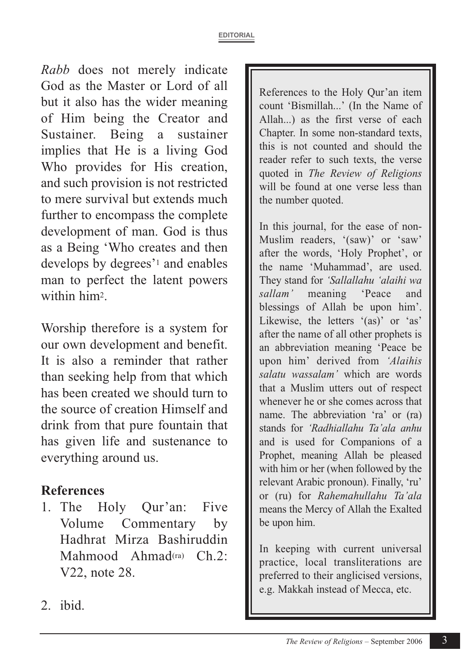*Rabb* does not merely indicate God as the Master or Lord of all but it also has the wider meaning of Him being the Creator and Sustainer. Being a sustainer implies that He is a living God Who provides for His creation, and such provision is not restricted to mere survival but extends much further to encompass the complete development of man. God is thus as a Being 'Who creates and then develops by degrees'1 and enables man to perfect the latent powers within him2.

Worship therefore is a system for our own development and benefit. It is also a reminder that rather than seeking help from that which has been created we should turn to the source of creation Himself and drink from that pure fountain that has given life and sustenance to everything around us.

#### **References**

1. The Holy Qur'an: Five Volume Commentary by Hadhrat Mirza Bashiruddin Mahmood Ahmad(ra) Ch  $2$ . V22, note 28.

References to the Holy Qur'an item count 'Bismillah...' (In the Name of Allah...) as the first verse of each Chapter. In some non-standard texts, this is not counted and should the reader refer to such texts, the verse quoted in *The Review of Religions* will be found at one verse less than the number quoted.

In this journal, for the ease of non-Muslim readers, '(saw)' or 'saw' after the words, 'Holy Prophet', or the name 'Muhammad', are used. They stand for *'Sallallahu 'alaihi wa sallam'* meaning 'Peace and blessings of Allah be upon him'. Likewise, the letters '(as)' or 'as' after the name of all other prophets is an abbreviation meaning 'Peace be upon him' derived from *'Alaihis salatu wassalam'* which are words that a Muslim utters out of respect whenever he or she comes across that name. The abbreviation 'ra' or (ra) stands for *'Radhiallahu Ta'ala anhu* and is used for Companions of a Prophet, meaning Allah be pleased with him or her (when followed by the relevant Arabic pronoun). Finally, 'ru' or (ru) for *Rahemahullahu Ta'ala* means the Mercy of Allah the Exalted be upon him.

In keeping with current universal practice, local transliterations are preferred to their anglicised versions, e.g. Makkah instead of Mecca, etc.

2. ibid.

3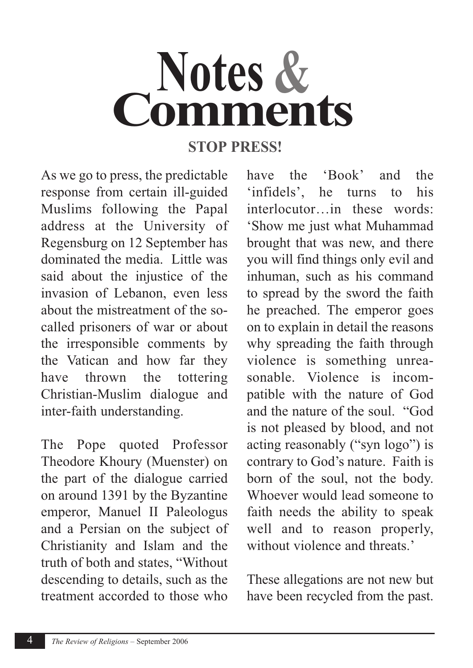# **Comments Notes &**

#### **STOP PRESS!**

As we go to press, the predictable response from certain ill-guided Muslims following the Papal address at the University of Regensburg on 12 September has dominated the media. Little was said about the injustice of the invasion of Lebanon, even less about the mistreatment of the socalled prisoners of war or about the irresponsible comments by the Vatican and how far they have thrown the tottering Christian-Muslim dialogue and inter-faith understanding.

The Pope quoted Professor Theodore Khoury (Muenster) on the part of the dialogue carried on around 1391 by the Byzantine emperor, Manuel II Paleologus and a Persian on the subject of Christianity and Islam and the truth of both and states, "Without descending to details, such as the treatment accorded to those who

have the 'Book' and the 'infidels', he turns to his interlocutor…in these words: 'Show me just what Muhammad brought that was new, and there you will find things only evil and inhuman, such as his command to spread by the sword the faith he preached. The emperor goes on to explain in detail the reasons why spreading the faith through violence is something unreasonable. Violence is incompatible with the nature of God and the nature of the soul. "God is not pleased by blood, and not acting reasonably ("syn logo") is contrary to God's nature. Faith is born of the soul, not the body. Whoever would lead someone to faith needs the ability to speak well and to reason properly, without violence and threats.'

These allegations are not new but have been recycled from the past.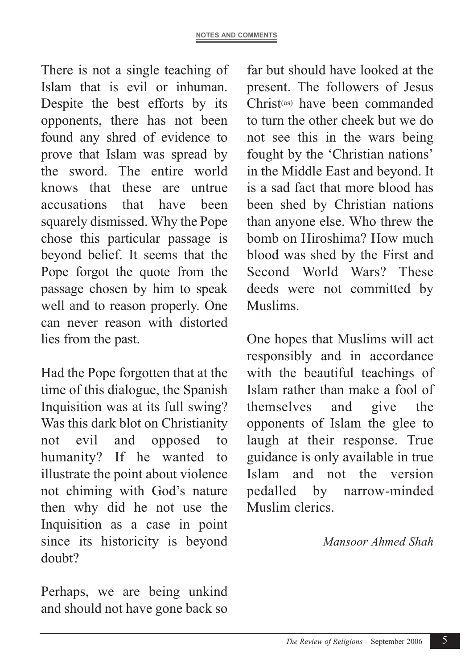There is not a single teaching of Islam that is evil or inhuman. Despite the best efforts by its opponents, there has not been found any shred of evidence to prove that Islam was spread by the sword. The entire world knows that these are untrue accusations that have been squarely dismissed. Why the Pope chose this particular passage is beyond belief. It seems that the Pope forgot the quote from the passage chosen by him to speak well and to reason properly. One can never reason with distorted lies from the past.

Had the Pope forgotten that at the time of this dialogue, the Spanish Inquisition was at its full swing? Was this dark blot on Christianity not evil and opposed to humanity? If he wanted to illustrate the point about violence not chiming with God's nature then why did he not use the Inquisition as a case in point since its historicity is beyond doubt?

Perhaps, we are being unkind and should not have gone back so far but should have looked at the present. The followers of Jesus Christ(as) have been commanded to turn the other cheek but we do not see this in the wars being fought by the 'Christian nations' in the Middle East and beyond. It is a sad fact that more blood has been shed by Christian nations than anyone else. Who threw the bomb on Hiroshima? How much blood was shed by the First and Second World Wars? These deeds were not committed by Muslims.

One hopes that Muslims will act responsibly and in accordance with the beautiful teachings of Islam rather than make a fool of themselves and give the opponents of Islam the glee to laugh at their response. True guidance is only available in true Islam and not the version pedalled by narrow-minded Muslim clerics.

*Mansoor Ahmed Shah*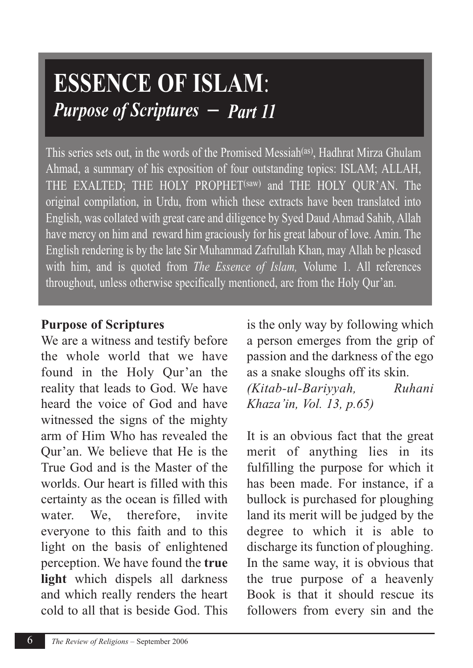### **ESSENCE OF ISLAM**: *Purpose of Scriptures – Part 11*

This series sets out, in the words of the Promised Messiah(as), Hadhrat Mirza Ghulam Ahmad, a summary of his exposition of four outstanding topics: ISLAM; ALLAH, THE EXALTED; THE HOLY PROPHET(saw) and THE HOLY QUR'AN. The original compilation, in Urdu, from which these extracts have been translated into English, was collated with great care and diligence by Syed Daud Ahmad Sahib, Allah have mercy on him and reward him graciously for his great labour of love. Amin. The English rendering is by the late Sir Muhammad Zafrullah Khan, may Allah be pleased with him, and is quoted from *The Essence of Islam,* Volume 1. All references throughout, unless otherwise specifically mentioned, are from the Holy Qur'an.

#### **Purpose of Scriptures**

We are a witness and testify before the whole world that we have found in the Holy Qur'an the reality that leads to God. We have heard the voice of God and have witnessed the signs of the mighty arm of Him Who has revealed the Qur'an. We believe that He is the True God and is the Master of the worlds. Our heart is filled with this certainty as the ocean is filled with water. We, therefore, invite everyone to this faith and to this light on the basis of enlightened perception. We have found the **true light** which dispels all darkness and which really renders the heart cold to all that is beside God. This

is the only way by following which a person emerges from the grip of passion and the darkness of the ego as a snake sloughs off its skin. *(Kitab-ul-Bariyyah, Ruhani Khaza'in, Vol. 13, p.65)*

It is an obvious fact that the great merit of anything lies in its fulfilling the purpose for which it has been made. For instance, if a bullock is purchased for ploughing land its merit will be judged by the degree to which it is able to discharge its function of ploughing. In the same way, it is obvious that the true purpose of a heavenly Book is that it should rescue its followers from every sin and the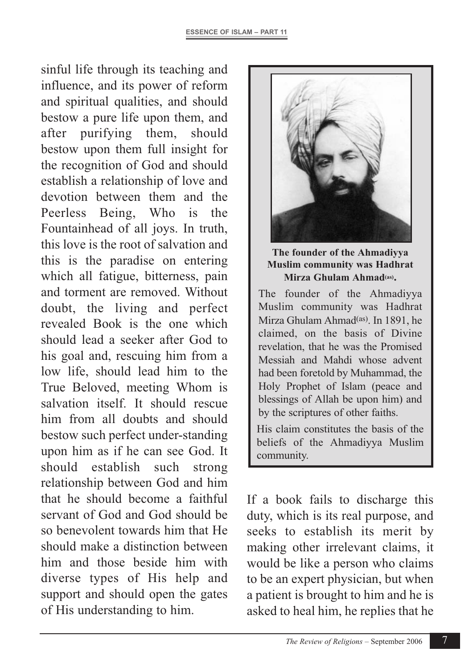sinful life through its teaching and influence, and its power of reform and spiritual qualities, and should bestow a pure life upon them, and after purifying them, should bestow upon them full insight for the recognition of God and should establish a relationship of love and devotion between them and the Peerless Being, Who is the Fountainhead of all joys. In truth, this love is the root of salvation and this is the paradise on entering which all fatigue, bitterness, pain and torment are removed. Without doubt, the living and perfect revealed Book is the one which should lead a seeker after God to his goal and, rescuing him from a low life, should lead him to the True Beloved, meeting Whom is salvation itself. It should rescue him from all doubts and should bestow such perfect under-standing upon him as if he can see God. It should establish such strong relationship between God and him that he should become a faithful servant of God and God should be so benevolent towards him that He should make a distinction between him and those beside him with diverse types of His help and support and should open the gates of His understanding to him.



**The founder of the Ahmadiyya Muslim community was Hadhrat Mirza Ghulam Ahmad(as).**

The founder of the Ahmadiyya Muslim community was Hadhrat Mirza Ghulam Ahmad(as). In 1891, he claimed, on the basis of Divine revelation, that he was the Promised Messiah and Mahdi whose advent had been foretold by Muhammad, the Holy Prophet of Islam (peace and blessings of Allah be upon him) and by the scriptures of other faiths.

His claim constitutes the basis of the beliefs of the Ahmadiyya Muslim community.

If a book fails to discharge this duty, which is its real purpose, and seeks to establish its merit by making other irrelevant claims, it would be like a person who claims to be an expert physician, but when a patient is brought to him and he is asked to heal him, he replies that he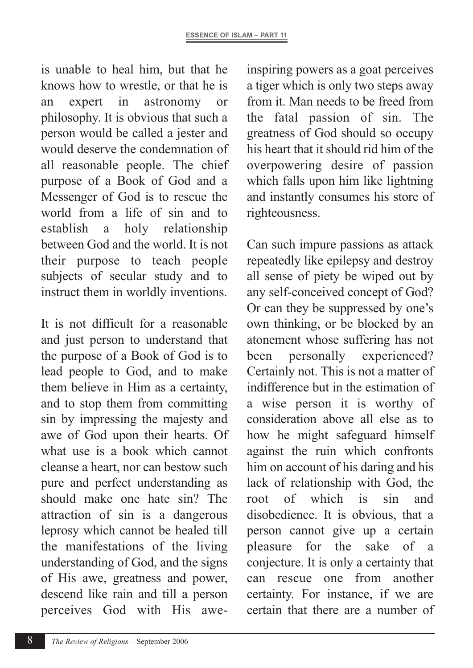is unable to heal him, but that he knows how to wrestle, or that he is an expert in astronomy or philosophy. It is obvious that such a person would be called a jester and would deserve the condemnation of all reasonable people. The chief purpose of a Book of God and a Messenger of God is to rescue the world from a life of sin and to establish a holy relationship between God and the world. It is not their purpose to teach people subjects of secular study and to instruct them in worldly inventions.

It is not difficult for a reasonable and just person to understand that the purpose of a Book of God is to lead people to God, and to make them believe in Him as a certainty, and to stop them from committing sin by impressing the majesty and awe of God upon their hearts. Of what use is a book which cannot cleanse a heart, nor can bestow such pure and perfect understanding as should make one hate sin? The attraction of sin is a dangerous leprosy which cannot be healed till the manifestations of the living understanding of God, and the signs of His awe, greatness and power, descend like rain and till a person perceives God with His aweinspiring powers as a goat perceives a tiger which is only two steps away from it. Man needs to be freed from the fatal passion of sin. The greatness of God should so occupy his heart that it should rid him of the overpowering desire of passion which falls upon him like lightning and instantly consumes his store of righteousness.

Can such impure passions as attack repeatedly like epilepsy and destroy all sense of piety be wiped out by any self-conceived concept of God? Or can they be suppressed by one's own thinking, or be blocked by an atonement whose suffering has not been personally experienced? Certainly not. This is not a matter of indifference but in the estimation of a wise person it is worthy of consideration above all else as to how he might safeguard himself against the ruin which confronts him on account of his daring and his lack of relationship with God, the root of which is sin and disobedience. It is obvious, that a person cannot give up a certain pleasure for the sake of a conjecture. It is only a certainty that can rescue one from another certainty. For instance, if we are certain that there are a number of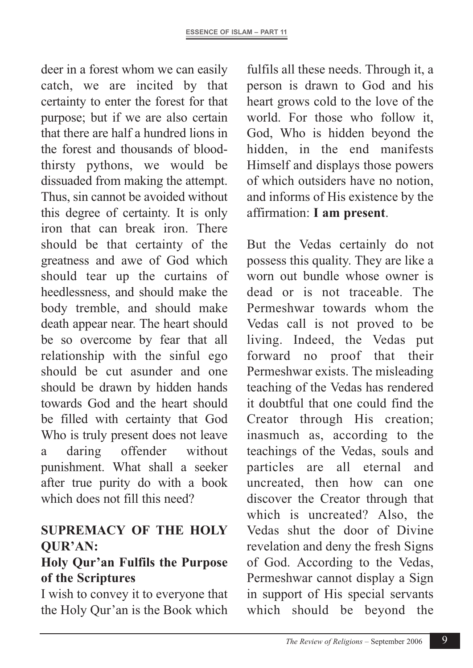deer in a forest whom we can easily catch, we are incited by that certainty to enter the forest for that purpose; but if we are also certain that there are half a hundred lions in the forest and thousands of bloodthirsty pythons, we would be dissuaded from making the attempt. Thus, sin cannot be avoided without this degree of certainty. It is only iron that can break iron. There should be that certainty of the greatness and awe of God which should tear up the curtains of heedlessness, and should make the body tremble, and should make death appear near. The heart should be so overcome by fear that all relationship with the sinful ego should be cut asunder and one should be drawn by hidden hands towards God and the heart should be filled with certainty that God Who is truly present does not leave a daring offender without punishment. What shall a seeker after true purity do with a book which does not fill this need?

#### **SUPREMACY OF THE HOLY QUR'AN:**

#### **Holy Qur'an Fulfils the Purpose of the Scriptures**

I wish to convey it to everyone that the Holy Qur'an is the Book which fulfils all these needs. Through it, a person is drawn to God and his heart grows cold to the love of the world. For those who follow it, God, Who is hidden beyond the hidden, in the end manifests Himself and displays those powers of which outsiders have no notion, and informs of His existence by the affirmation: **I am present**.

But the Vedas certainly do not possess this quality. They are like a worn out bundle whose owner is dead or is not traceable. The Permeshwar towards whom the Vedas call is not proved to be living. Indeed, the Vedas put forward no proof that their Permeshwar exists. The misleading teaching of the Vedas has rendered it doubtful that one could find the Creator through His creation; inasmuch as, according to the teachings of the Vedas, souls and particles are all eternal and uncreated, then how can one discover the Creator through that which is uncreated? Also, the Vedas shut the door of Divine revelation and deny the fresh Signs of God. According to the Vedas, Permeshwar cannot display a Sign in support of His special servants which should be beyond the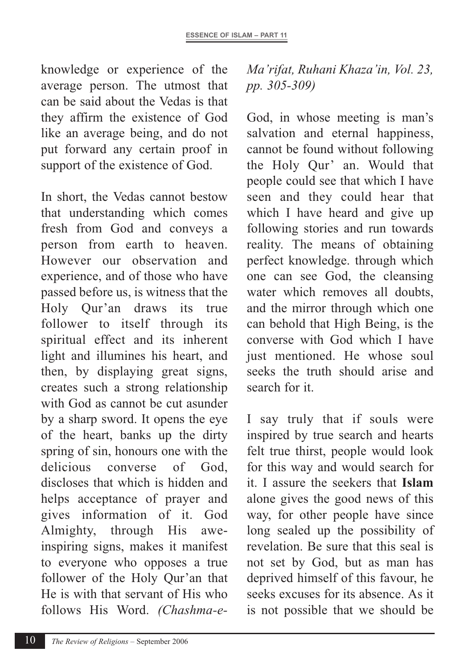knowledge or experience of the average person. The utmost that can be said about the Vedas is that they affirm the existence of God like an average being, and do not put forward any certain proof in support of the existence of God.

In short, the Vedas cannot bestow that understanding which comes fresh from God and conveys a person from earth to heaven. However our observation and experience, and of those who have passed before us, is witness that the Holy Qur'an draws its true follower to itself through its spiritual effect and its inherent light and illumines his heart, and then, by displaying great signs, creates such a strong relationship with God as cannot be cut asunder by a sharp sword. It opens the eye of the heart, banks up the dirty spring of sin, honours one with the delicious converse of God, discloses that which is hidden and helps acceptance of prayer and gives information of it. God Almighty, through His aweinspiring signs, makes it manifest to everyone who opposes a true follower of the Holy Qur'an that He is with that servant of His who follows His Word. *(Chashma-e-*

*Ma'rifat, Ruhani Khaza'in, Vol. 23, pp. 305-309)*

God, in whose meeting is man's salvation and eternal happiness, cannot be found without following the Holy Qur' an. Would that people could see that which I have seen and they could hear that which I have heard and give up following stories and run towards reality. The means of obtaining perfect knowledge. through which one can see God, the cleansing water which removes all doubts. and the mirror through which one can behold that High Being, is the converse with God which I have just mentioned. He whose soul seeks the truth should arise and search for it.

I say truly that if souls were inspired by true search and hearts felt true thirst, people would look for this way and would search for it. I assure the seekers that **Islam** alone gives the good news of this way, for other people have since long sealed up the possibility of revelation. Be sure that this seal is not set by God, but as man has deprived himself of this favour, he seeks excuses for its absence. As it is not possible that we should be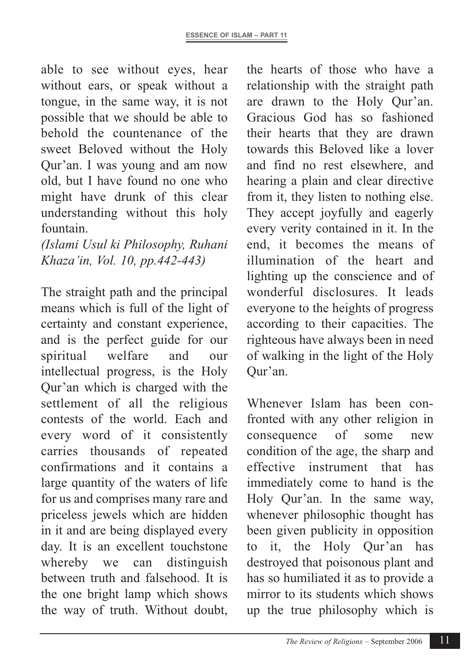able to see without eyes, hear without ears, or speak without a tongue, in the same way, it is not possible that we should be able to behold the countenance of the sweet Beloved without the Holy Qur'an. I was young and am now old, but I have found no one who might have drunk of this clear understanding without this holy fountain.

*(Islami Usul ki Philosophy, Ruhani Khaza'in, Vol. 10, pp.442-443)*

The straight path and the principal means which is full of the light of certainty and constant experience, and is the perfect guide for our spiritual welfare and our intellectual progress, is the Holy Qur'an which is charged with the settlement of all the religious contests of the world. Each and every word of it consistently carries thousands of repeated confirmations and it contains a large quantity of the waters of life for us and comprises many rare and priceless jewels which are hidden in it and are being displayed every day. It is an excellent touchstone whereby we can distinguish between truth and falsehood. It is the one bright lamp which shows the way of truth. Without doubt,

the hearts of those who have a relationship with the straight path are drawn to the Holy Qur'an. Gracious God has so fashioned their hearts that they are drawn towards this Beloved like a lover and find no rest elsewhere, and hearing a plain and clear directive from it, they listen to nothing else. They accept joyfully and eagerly every verity contained in it. In the end, it becomes the means of illumination of the heart and lighting up the conscience and of wonderful disclosures. It leads everyone to the heights of progress according to their capacities. The righteous have always been in need of walking in the light of the Holy Qur'an.

Whenever Islam has been confronted with any other religion in consequence of some new condition of the age, the sharp and effective instrument that has immediately come to hand is the Holy Qur'an. In the same way, whenever philosophic thought has been given publicity in opposition to it, the Holy Qur'an has destroyed that poisonous plant and has so humiliated it as to provide a mirror to its students which shows up the true philosophy which is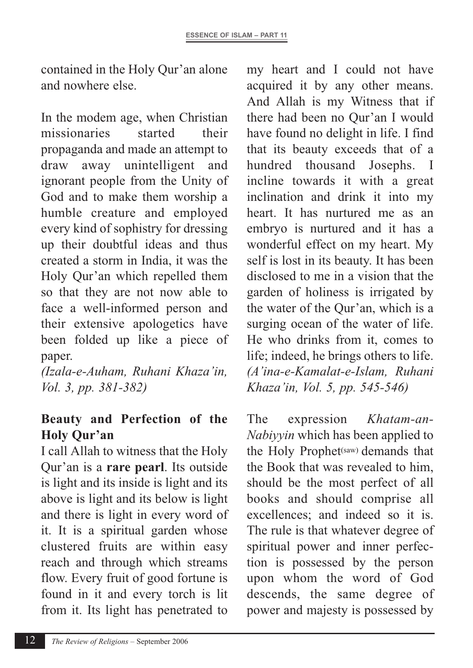contained in the Holy Qur'an alone and nowhere else.

In the modem age, when Christian missionaries started their propaganda and made an attempt to draw away unintelligent and ignorant people from the Unity of God and to make them worship a humble creature and employed every kind of sophistry for dressing up their doubtful ideas and thus created a storm in India, it was the Holy Qur'an which repelled them so that they are not now able to face a well-informed person and their extensive apologetics have been folded up like a piece of paper.

*(Izala-e-Auham, Ruhani Khaza'in, Vol. 3, pp. 381-382)*

#### **Beauty and Perfection of the Holy Qur'an**

I call Allah to witness that the Holy Qur'an is a **rare pearl**. Its outside is light and its inside is light and its above is light and its below is light and there is light in every word of it. It is a spiritual garden whose clustered fruits are within easy reach and through which streams flow. Every fruit of good fortune is found in it and every torch is lit from it. Its light has penetrated to

my heart and I could not have acquired it by any other means. And Allah is my Witness that if there had been no Qur'an I would have found no delight in life. I find that its beauty exceeds that of a hundred thousand Josephs. I incline towards it with a great inclination and drink it into my heart. It has nurtured me as an embryo is nurtured and it has a wonderful effect on my heart. My self is lost in its beauty. It has been disclosed to me in a vision that the garden of holiness is irrigated by the water of the Qur'an, which is a surging ocean of the water of life. He who drinks from it, comes to life; indeed, he brings others to life. *(A'ina-e-Kamalat-e-Islam, Ruhani Khaza'in, Vol. 5, pp. 545-546)*

The expression *Khatam-an-Nabiyyin* which has been applied to the Holy Prophet<sup>(saw)</sup> demands that the Book that was revealed to him, should be the most perfect of all books and should comprise all excellences; and indeed so it is. The rule is that whatever degree of spiritual power and inner perfection is possessed by the person upon whom the word of God descends, the same degree of power and majesty is possessed by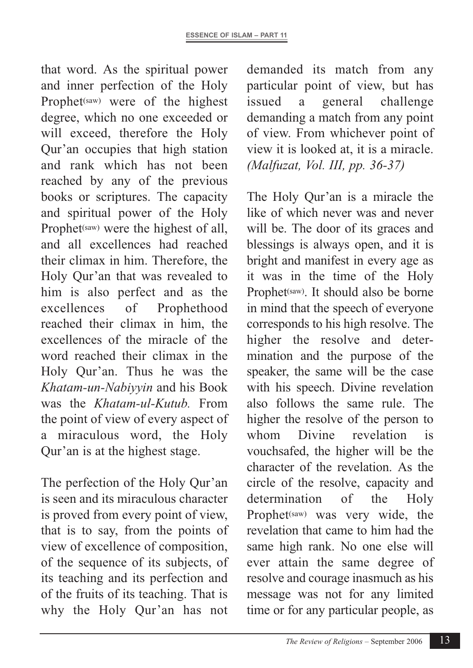that word. As the spiritual power and inner perfection of the Holy Prophet<sup>(saw)</sup> were of the highest degree, which no one exceeded or will exceed, therefore the Holy Qur'an occupies that high station and rank which has not been reached by any of the previous books or scriptures. The capacity and spiritual power of the Holy Prophet<sup>(saw)</sup> were the highest of all, and all excellences had reached their climax in him. Therefore, the Holy Qur'an that was revealed to him is also perfect and as the excellences of Prophethood reached their climax in him, the excellences of the miracle of the word reached their climax in the Holy Qur'an. Thus he was the *Khatam-un-Nabiyyin* and his Book was the *Khatam-ul-Kutub.* From the point of view of every aspect of a miraculous word, the Holy Qur'an is at the highest stage.

The perfection of the Holy Qur'an is seen and its miraculous character is proved from every point of view, that is to say, from the points of view of excellence of composition, of the sequence of its subjects, of its teaching and its perfection and of the fruits of its teaching. That is why the Holy Qur'an has not

demanded its match from any particular point of view, but has issued a general challenge demanding a match from any point of view. From whichever point of view it is looked at, it is a miracle. *(Malfuzat, Vol. III, pp. 36-37)*

The Holy Qur'an is a miracle the like of which never was and never will be. The door of its graces and blessings is always open, and it is bright and manifest in every age as it was in the time of the Holy Prophet<sup>(saw)</sup>. It should also be borne in mind that the speech of everyone corresponds to his high resolve. The higher the resolve and determination and the purpose of the speaker, the same will be the case with his speech. Divine revelation also follows the same rule. The higher the resolve of the person to whom Divine revelation is vouchsafed, the higher will be the character of the revelation. As the circle of the resolve, capacity and determination of the Holy Prophet<sup>(saw)</sup> was very wide, the revelation that came to him had the same high rank. No one else will ever attain the same degree of resolve and courage inasmuch as his message was not for any limited time or for any particular people, as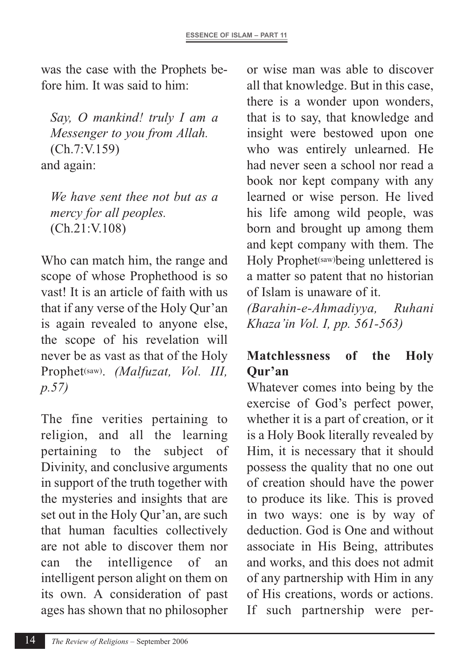was the case with the Prophets before him. It was said to him:

*Say, O mankind! truly I am a Messenger to you from Allah.*  (Ch.7:V.159) and again:

*We have sent thee not but as a mercy for all peoples.* (Ch.21:V.108)

Who can match him, the range and scope of whose Prophethood is so vast! It is an article of faith with us that if any verse of the Holy Qur'an is again revealed to anyone else, the scope of his revelation will never be as vast as that of the Holy Prophet<sup>(saw)</sup>. *(Malfuzat, Vol. III, p.57)*

The fine verities pertaining to religion, and all the learning pertaining to the subject of Divinity, and conclusive arguments in support of the truth together with the mysteries and insights that are set out in the Holy Qur'an, are such that human faculties collectively are not able to discover them nor can the intelligence of an intelligent person alight on them on its own. A consideration of past ages has shown that no philosopher

or wise man was able to discover all that knowledge. But in this case, there is a wonder upon wonders, that is to say, that knowledge and insight were bestowed upon one who was entirely unlearned. He had never seen a school nor read a book nor kept company with any learned or wise person. He lived his life among wild people, was born and brought up among them and kept company with them. The Holy Prophet<sup>(saw)</sup>being unlettered is a matter so patent that no historian of Islam is unaware of it.

*(Barahin-e-Ahmadiyya, Ruhani Khaza'in Vol. I, pp. 561-563)*

#### **Matchlessness of the Holy Qur'an**

Whatever comes into being by the exercise of God's perfect power, whether it is a part of creation, or it is a Holy Book literally revealed by Him, it is necessary that it should possess the quality that no one out of creation should have the power to produce its like. This is proved in two ways: one is by way of deduction. God is One and without associate in His Being, attributes and works, and this does not admit of any partnership with Him in any of His creations, words or actions. If such partnership were per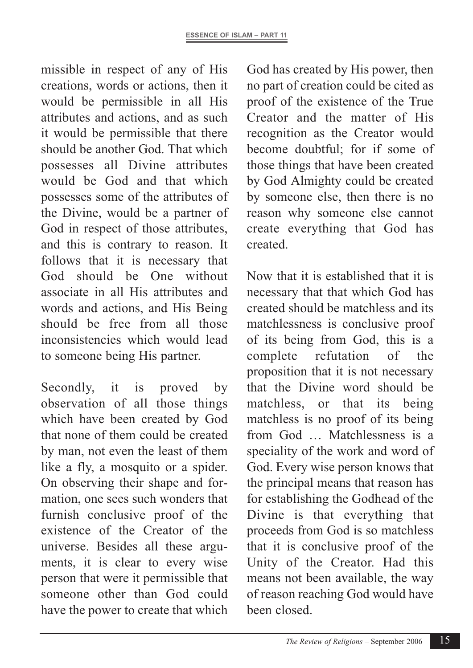missible in respect of any of His creations, words or actions, then it would be permissible in all His attributes and actions, and as such it would be permissible that there should be another God. That which possesses all Divine attributes would be God and that which possesses some of the attributes of the Divine, would be a partner of God in respect of those attributes, and this is contrary to reason. It follows that it is necessary that God should be One without associate in all His attributes and words and actions, and His Being should be free from all those inconsistencies which would lead to someone being His partner.

Secondly, it is proved by observation of all those things which have been created by God that none of them could be created by man, not even the least of them like a fly, a mosquito or a spider. On observing their shape and formation, one sees such wonders that furnish conclusive proof of the existence of the Creator of the universe. Besides all these arguments, it is clear to every wise person that were it permissible that someone other than God could have the power to create that which

God has created by His power, then no part of creation could be cited as proof of the existence of the True Creator and the matter of His recognition as the Creator would become doubtful; for if some of those things that have been created by God Almighty could be created by someone else, then there is no reason why someone else cannot create everything that God has created.

Now that it is established that it is necessary that that which God has created should be matchless and its matchlessness is conclusive proof of its being from God, this is a complete refutation of the proposition that it is not necessary that the Divine word should be matchless, or that its being matchless is no proof of its being from God … Matchlessness is a speciality of the work and word of God. Every wise person knows that the principal means that reason has for establishing the Godhead of the Divine is that everything that proceeds from God is so matchless that it is conclusive proof of the Unity of the Creator. Had this means not been available, the way of reason reaching God would have been closed.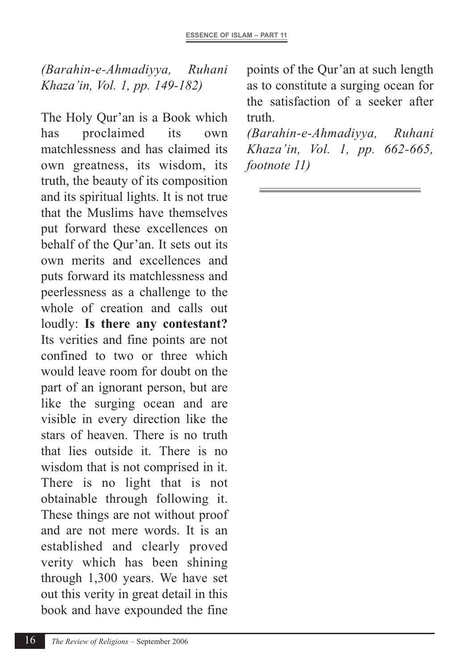*(Barahin-e-Ahmadiyya, Ruhani Khaza'in, Vol. 1, pp. 149-182)*

The Holy Qur'an is a Book which has proclaimed its own matchlessness and has claimed its own greatness, its wisdom, its truth, the beauty of its composition and its spiritual lights. It is not true that the Muslims have themselves put forward these excellences on behalf of the Qur'an. It sets out its own merits and excellences and puts forward its matchlessness and peerlessness as a challenge to the whole of creation and calls out loudly: **Is there any contestant?** Its verities and fine points are not confined to two or three which would leave room for doubt on the part of an ignorant person, but are like the surging ocean and are visible in every direction like the stars of heaven. There is no truth that lies outside it. There is no wisdom that is not comprised in it. There is no light that is not obtainable through following it. These things are not without proof and are not mere words. It is an established and clearly proved verity which has been shining through 1,300 years. We have set out this verity in great detail in this book and have expounded the fine

points of the Qur'an at such length as to constitute a surging ocean for the satisfaction of a seeker after truth.

*(Barahin-e-Ahmadiyya, Ruhani Khaza'in, Vol. 1, pp. 662-665, footnote 11)*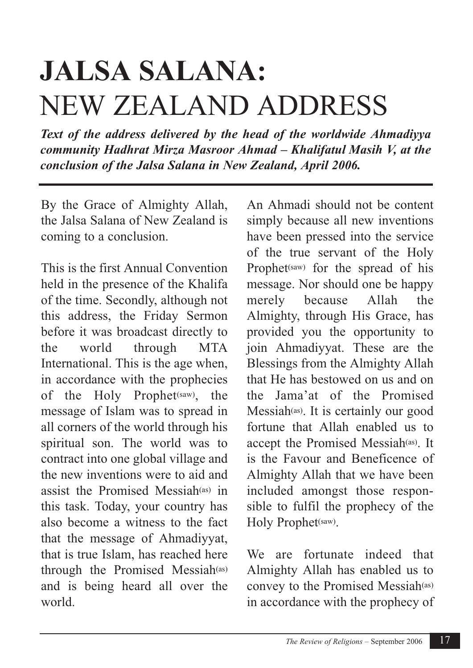## **JALSA SALANA:**  NEW ZEALAND ADDRESS

*Text of the address delivered by the head of the worldwide Ahmadiyya community Hadhrat Mirza Masroor Ahmad – Khalifatul Masih V, at the conclusion of the Jalsa Salana in New Zealand, April 2006.*

By the Grace of Almighty Allah, the Jalsa Salana of New Zealand is coming to a conclusion.

This is the first Annual Convention held in the presence of the Khalifa of the time. Secondly, although not this address, the Friday Sermon before it was broadcast directly to the world through MTA International. This is the age when, in accordance with the prophecies of the Holy Prophet(saw), the message of Islam was to spread in all corners of the world through his spiritual son. The world was to contract into one global village and the new inventions were to aid and assist the Promised Messiah(as) in this task. Today, your country has also become a witness to the fact that the message of Ahmadiyyat, that is true Islam, has reached here through the Promised Messiah(as) and is being heard all over the world.

An Ahmadi should not be content simply because all new inventions have been pressed into the service of the true servant of the Holy Prophet<sup>(saw)</sup> for the spread of his message. Nor should one be happy merely because Allah the Almighty, through His Grace, has provided you the opportunity to join Ahmadiyyat. These are the Blessings from the Almighty Allah that He has bestowed on us and on the Jama'at of the Promised Messiah<sup>(as)</sup>. It is certainly our good fortune that Allah enabled us to accept the Promised Messiah(as). It is the Favour and Beneficence of Almighty Allah that we have been included amongst those responsible to fulfil the prophecy of the Holy Prophet(saw).

We are fortunate indeed that Almighty Allah has enabled us to convey to the Promised Messiah(as) in accordance with the prophecy of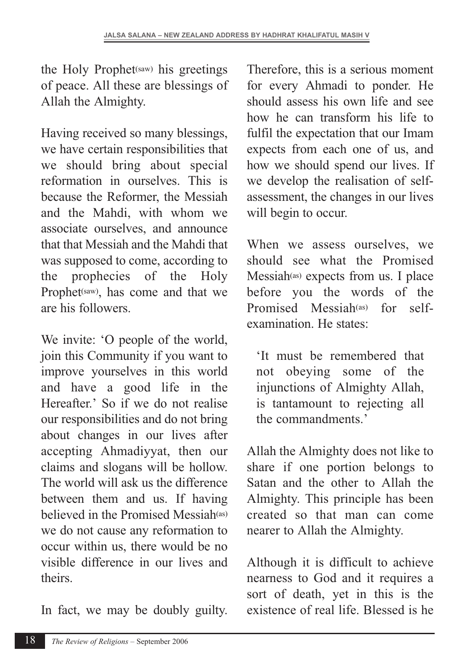the Holy Prophet<sup>(saw)</sup> his greetings of peace. All these are blessings of Allah the Almighty.

Having received so many blessings, we have certain responsibilities that we should bring about special reformation in ourselves. This is because the Reformer, the Messiah and the Mahdi, with whom we associate ourselves, and announce that that Messiah and the Mahdi that was supposed to come, according to the prophecies of the Holy Prophet<sup>(saw)</sup>, has come and that we are his followers.

We invite: 'O people of the world, join this Community if you want to improve yourselves in this world and have a good life in the Hereafter.' So if we do not realise our responsibilities and do not bring about changes in our lives after accepting Ahmadiyyat, then our claims and slogans will be hollow. The world will ask us the difference between them and us. If having believed in the Promised Messiah(as) we do not cause any reformation to occur within us, there would be no visible difference in our lives and theirs.

In fact, we may be doubly guilty.

Therefore, this is a serious moment for every Ahmadi to ponder. He should assess his own life and see how he can transform his life to fulfil the expectation that our Imam expects from each one of us, and how we should spend our lives. If we develop the realisation of selfassessment, the changes in our lives will begin to occur.

When we assess ourselves, we should see what the Promised Messiah<sup>(as)</sup> expects from us. I place before you the words of the Promised Messiah(as) for selfexamination. He states:

'It must be remembered that not obeying some of the injunctions of Almighty Allah, is tantamount to rejecting all the commandments.'

Allah the Almighty does not like to share if one portion belongs to Satan and the other to Allah the Almighty. This principle has been created so that man can come nearer to Allah the Almighty.

Although it is difficult to achieve nearness to God and it requires a sort of death, yet in this is the existence of real life. Blessed is he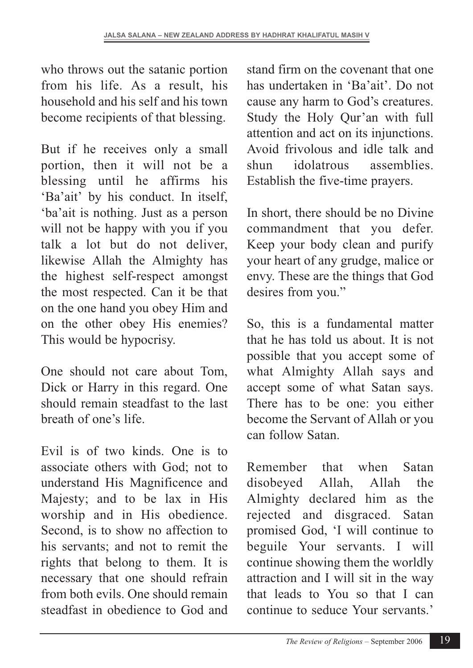who throws out the satanic portion from his life. As a result, his household and his self and his town become recipients of that blessing.

But if he receives only a small portion, then it will not be a blessing until he affirms his 'Ba'ait' by his conduct. In itself, 'ba'ait is nothing. Just as a person will not be happy with you if you talk a lot but do not deliver, likewise Allah the Almighty has the highest self-respect amongst the most respected. Can it be that on the one hand you obey Him and on the other obey His enemies? This would be hypocrisy.

One should not care about Tom, Dick or Harry in this regard. One should remain steadfast to the last breath of one's life.

Evil is of two kinds. One is to associate others with God; not to understand His Magnificence and Majesty; and to be lax in His worship and in His obedience. Second, is to show no affection to his servants; and not to remit the rights that belong to them. It is necessary that one should refrain from both evils. One should remain steadfast in obedience to God and

stand firm on the covenant that one has undertaken in 'Ba'ait'. Do not cause any harm to God's creatures. Study the Holy Qur'an with full attention and act on its injunctions. Avoid frivolous and idle talk and shun idolatrous assemblies. Establish the five-time prayers.

In short, there should be no Divine commandment that you defer. Keep your body clean and purify your heart of any grudge, malice or envy. These are the things that God desires from you."

So, this is a fundamental matter that he has told us about. It is not possible that you accept some of what Almighty Allah says and accept some of what Satan says. There has to be one: you either become the Servant of Allah or you can follow Satan.

Remember that when Satan disobeyed Allah, Allah the Almighty declared him as the rejected and disgraced. Satan promised God, 'I will continue to beguile Your servants. I will continue showing them the worldly attraction and I will sit in the way that leads to You so that I can continue to seduce Your servants.'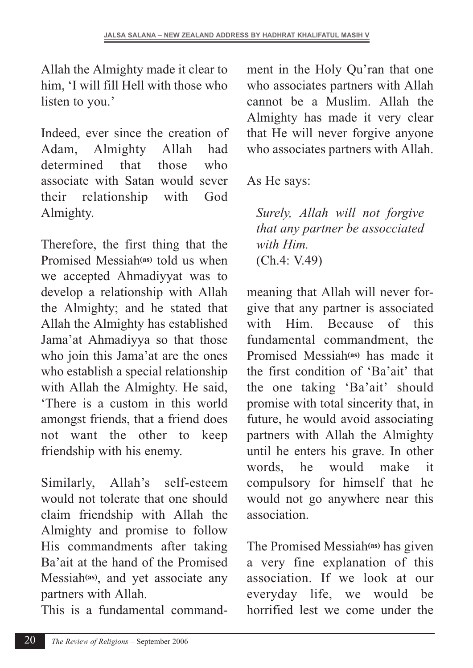Allah the Almighty made it clear to him, 'I will fill Hell with those who listen to you.'

Indeed, ever since the creation of Adam, Almighty Allah had determined that those who associate with Satan would sever their relationship with God Almighty.

Therefore, the first thing that the Promised Messiah**(as)** told us when we accepted Ahmadiyyat was to develop a relationship with Allah the Almighty; and he stated that Allah the Almighty has established Jama'at Ahmadiyya so that those who join this Jama'at are the ones who establish a special relationship with Allah the Almighty. He said, 'There is a custom in this world amongst friends, that a friend does not want the other to keep friendship with his enemy.

Similarly, Allah's self-esteem would not tolerate that one should claim friendship with Allah the Almighty and promise to follow His commandments after taking Ba'ait at the hand of the Promised Messiah**(as)**, and yet associate any partners with Allah.

This is a fundamental command-

ment in the Holy Qu'ran that one who associates partners with Allah cannot be a Muslim. Allah the Almighty has made it very clear that He will never forgive anyone who associates partners with Allah.

As He says:

*Surely, Allah will not forgive that any partner be assocciated with Him.* (Ch.4: V.49)

meaning that Allah will never forgive that any partner is associated with Him. Because of this fundamental commandment, the Promised Messiah**(as)** has made it the first condition of 'Ba'ait' that the one taking 'Ba'ait' should promise with total sincerity that, in future, he would avoid associating partners with Allah the Almighty until he enters his grave. In other words, he would make it compulsory for himself that he would not go anywhere near this association.

The Promised Messiah**(as)** has given a very fine explanation of this association. If we look at our everyday life, we would be horrified lest we come under the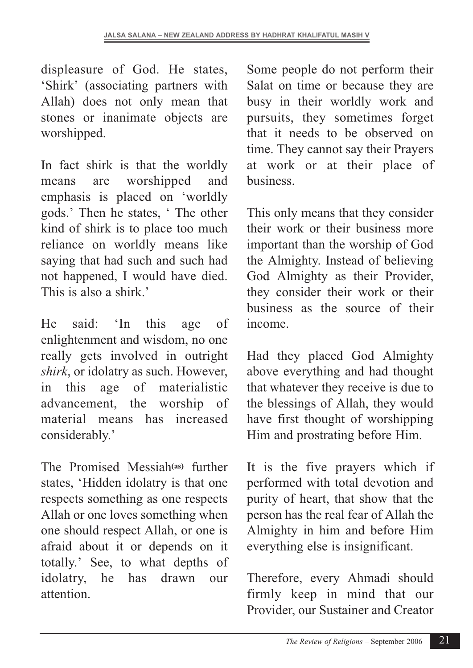displeasure of God. He states, 'Shirk' (associating partners with Allah) does not only mean that stones or inanimate objects are worshipped.

In fact shirk is that the worldly means are worshipped and emphasis is placed on 'worldly gods.' Then he states, ' The other kind of shirk is to place too much reliance on worldly means like saying that had such and such had not happened, I would have died. This is also a shirk.<sup>'</sup>

He said: 'In this age of enlightenment and wisdom, no one really gets involved in outright *shirk*, or idolatry as such. However, in this age of materialistic advancement, the worship of material means has increased considerably.'

The Promised Messiah**(as)** further states, 'Hidden idolatry is that one respects something as one respects Allah or one loves something when one should respect Allah, or one is afraid about it or depends on it totally.' See, to what depths of idolatry, he has drawn our attention.

Some people do not perform their Salat on time or because they are busy in their worldly work and pursuits, they sometimes forget that it needs to be observed on time. They cannot say their Prayers at work or at their place of business.

This only means that they consider their work or their business more important than the worship of God the Almighty. Instead of believing God Almighty as their Provider, they consider their work or their business as the source of their income.

Had they placed God Almighty above everything and had thought that whatever they receive is due to the blessings of Allah, they would have first thought of worshipping Him and prostrating before Him.

It is the five prayers which if performed with total devotion and purity of heart, that show that the person has the real fear of Allah the Almighty in him and before Him everything else is insignificant.

Therefore, every Ahmadi should firmly keep in mind that our Provider, our Sustainer and Creator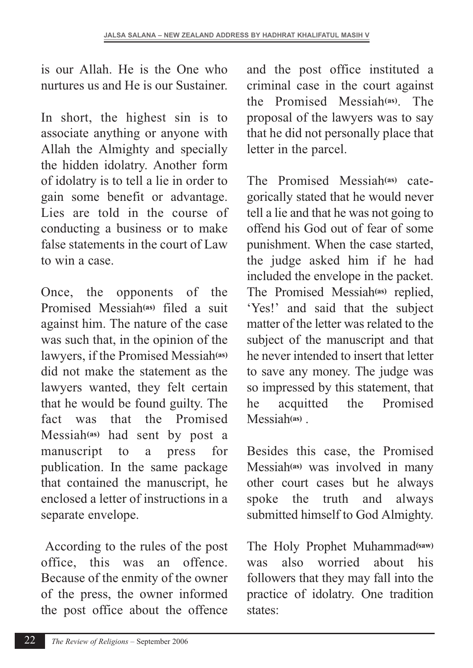is our Allah. He is the One who nurtures us and He is our Sustainer.

In short, the highest sin is to associate anything or anyone with Allah the Almighty and specially the hidden idolatry. Another form of idolatry is to tell a lie in order to gain some benefit or advantage. Lies are told in the course of conducting a business or to make false statements in the court of Law to win a case.

Once, the opponents of the Promised Messiah**(as)** filed a suit against him. The nature of the case was such that, in the opinion of the lawyers, if the Promised Messiah**(as)** did not make the statement as the lawyers wanted, they felt certain that he would be found guilty. The fact was that the Promised Messiah**(as)** had sent by post a manuscript to a press for publication. In the same package that contained the manuscript, he enclosed a letter of instructions in a separate envelope.

According to the rules of the post office, this was an offence. Because of the enmity of the owner of the press, the owner informed the post office about the offence and the post office instituted a criminal case in the court against the Promised Messiah**(as)**. The proposal of the lawyers was to say that he did not personally place that letter in the parcel.

The Promised Messiah**(as)** categorically stated that he would never tell a lie and that he was not going to offend his God out of fear of some punishment. When the case started, the judge asked him if he had included the envelope in the packet. The Promised Messiah**(as)** replied, 'Yes!' and said that the subject matter of the letter was related to the subject of the manuscript and that he never intended to insert that letter to save any money. The judge was so impressed by this statement, that he acquitted the Promised Messiah**(as)** .

Besides this case, the Promised Messiah**(as)** was involved in many other court cases but he always spoke the truth and always submitted himself to God Almighty.

The Holy Prophet Muhammad**(saw)** was also worried about his followers that they may fall into the practice of idolatry. One tradition states: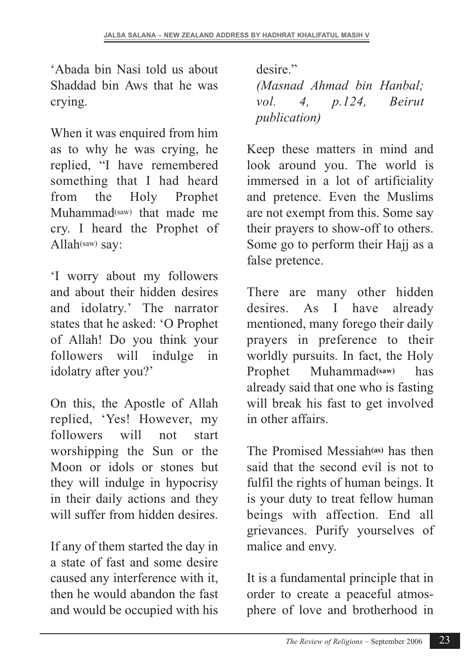'Abada bin Nasi told us about Shaddad bin Aws that he was crying.

When it was enquired from him as to why he was crying, he replied, "I have remembered something that I had heard from the Holy Prophet Muhammad(saw) that made me cry. I heard the Prophet of Allah(saw) say:

'I worry about my followers and about their hidden desires and idolatry.' The narrator states that he asked: 'O Prophet of Allah! Do you think your followers will indulge in idolatry after you?'

On this, the Apostle of Allah replied, 'Yes! However, my followers will not start worshipping the Sun or the Moon or idols or stones but they will indulge in hypocrisy in their daily actions and they will suffer from hidden desires.

If any of them started the day in a state of fast and some desire caused any interference with it, then he would abandon the fast and would be occupied with his

desire." *(Masnad Ahmad bin Hanbal; vol. 4, p.124, Beirut publication)*

Keep these matters in mind and look around you. The world is immersed in a lot of artificiality and pretence. Even the Muslims are not exempt from this. Some say their prayers to show-off to others. Some go to perform their Hajj as a false pretence.

There are many other hidden desires. As I have already mentioned, many forego their daily prayers in preference to their worldly pursuits. In fact, the Holy Prophet Muhammad**(saw)** has already said that one who is fasting will break his fast to get involved in other affairs.

The Promised Messiah**(as)** has then said that the second evil is not to fulfil the rights of human beings. It is your duty to treat fellow human beings with affection. End all grievances. Purify yourselves of malice and envy.

It is a fundamental principle that in order to create a peaceful atmosphere of love and brotherhood in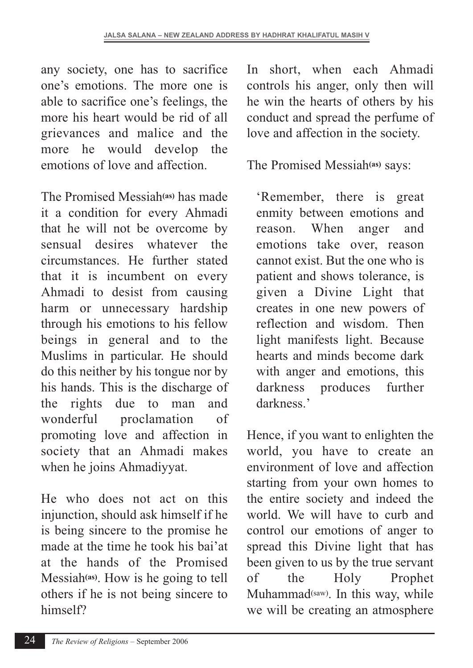any society, one has to sacrifice one's emotions. The more one is able to sacrifice one's feelings, the more his heart would be rid of all grievances and malice and the more he would develop the emotions of love and affection.

The Promised Messiah**(as)** has made it a condition for every Ahmadi that he will not be overcome by sensual desires whatever the circumstances. He further stated that it is incumbent on every Ahmadi to desist from causing harm or unnecessary hardship through his emotions to his fellow beings in general and to the Muslims in particular. He should do this neither by his tongue nor by his hands. This is the discharge of the rights due to man and wonderful proclamation of promoting love and affection in society that an Ahmadi makes when he joins Ahmadiyyat.

He who does not act on this injunction, should ask himself if he is being sincere to the promise he made at the time he took his bai'at at the hands of the Promised Messiah**(as)**. How is he going to tell others if he is not being sincere to himself?

In short, when each Ahmadi controls his anger, only then will he win the hearts of others by his conduct and spread the perfume of love and affection in the society.

The Promised Messiah**(as)** says:

'Remember, there is great enmity between emotions and reason. When anger and emotions take over, reason cannot exist. But the one who is patient and shows tolerance, is given a Divine Light that creates in one new powers of reflection and wisdom. Then light manifests light. Because hearts and minds become dark with anger and emotions, this darkness produces further darkness.'

Hence, if you want to enlighten the world, you have to create an environment of love and affection starting from your own homes to the entire society and indeed the world. We will have to curb and control our emotions of anger to spread this Divine light that has been given to us by the true servant of the Holy Prophet Muhammad<sup>(saw)</sup>. In this way, while we will be creating an atmosphere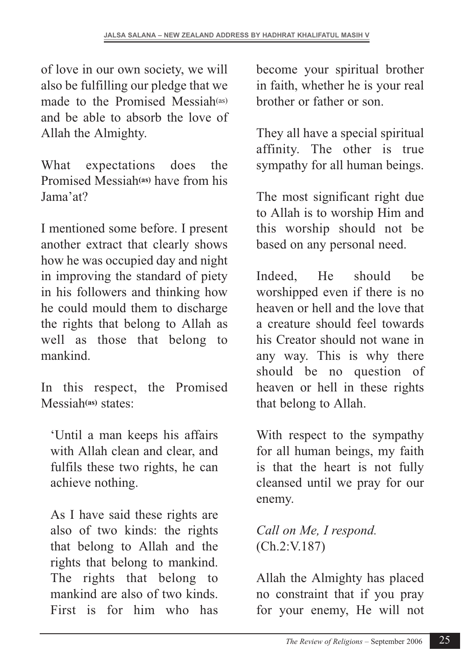of love in our own society, we will also be fulfilling our pledge that we made to the Promised Messiah(as) and be able to absorb the love of Allah the Almighty.

What expectations does the Promised Messiah**(as)** have from his Jama'at?

I mentioned some before. I present another extract that clearly shows how he was occupied day and night in improving the standard of piety in his followers and thinking how he could mould them to discharge the rights that belong to Allah as well as those that belong to mankind.

In this respect, the Promised Messiah**(as)** states:

'Until a man keeps his affairs with Allah clean and clear, and fulfils these two rights, he can achieve nothing.

As I have said these rights are also of two kinds: the rights that belong to Allah and the rights that belong to mankind. The rights that belong to mankind are also of two kinds. First is for him who has

become your spiritual brother in faith, whether he is your real brother or father or son.

They all have a special spiritual affinity. The other is true sympathy for all human beings.

The most significant right due to Allah is to worship Him and this worship should not be based on any personal need.

Indeed, He should be worshipped even if there is no heaven or hell and the love that a creature should feel towards his Creator should not wane in any way. This is why there should be no question of heaven or hell in these rights that belong to Allah.

With respect to the sympathy for all human beings, my faith is that the heart is not fully cleansed until we pray for our enemy.

*Call on Me, I respond.* (Ch.2:V.187)

Allah the Almighty has placed no constraint that if you pray for your enemy, He will not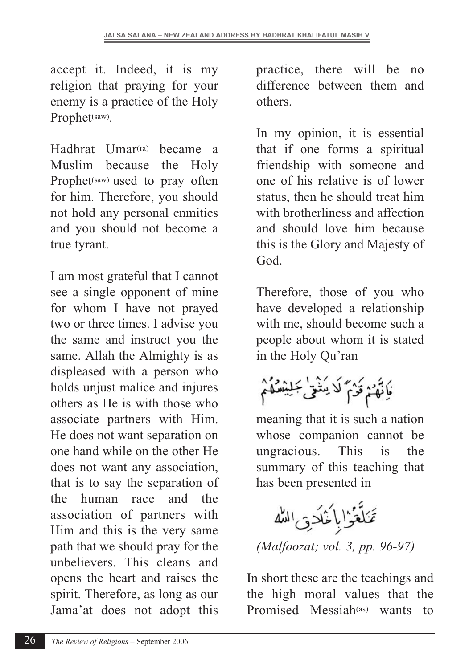accept it. Indeed, it is my religion that praying for your enemy is a practice of the Holy Prophet<sup>(saw)</sup>.

Hadhrat Umar(ra) became a Muslim because the Holy Prophet<sup>(saw)</sup> used to pray often for him. Therefore, you should not hold any personal enmities and you should not become a true tyrant.

I am most grateful that I cannot see a single opponent of mine for whom I have not prayed two or three times. I advise you the same and instruct you the same. Allah the Almighty is as displeased with a person who holds unjust malice and injures others as He is with those who associate partners with Him. He does not want separation on one hand while on the other He does not want any association, that is to say the separation of the human race and the association of partners with Him and this is the very same path that we should pray for the unbelievers. This cleans and opens the heart and raises the spirit. Therefore, as long as our Jama'at does not adopt this

practice, there will be no difference between them and others.

In my opinion, it is essential that if one forms a spiritual friendship with someone and one of his relative is of lower status, then he should treat him with brotherliness and affection and should love him because this is the Glory and Majesty of God.

Therefore, those of you who have developed a relationship with me, should become such a people about whom it is stated in the Holy Qu'ran



meaning that it is such a nation whose companion cannot be ungracious. This is the summary of this teaching that has been presented in

تَمَلَّعُوْا بِاَخْلَاقِ الله

*(Malfoozat; vol. 3, pp. 96-97)* 

In short these are the teachings and the high moral values that the Promised Messiah(as) wants to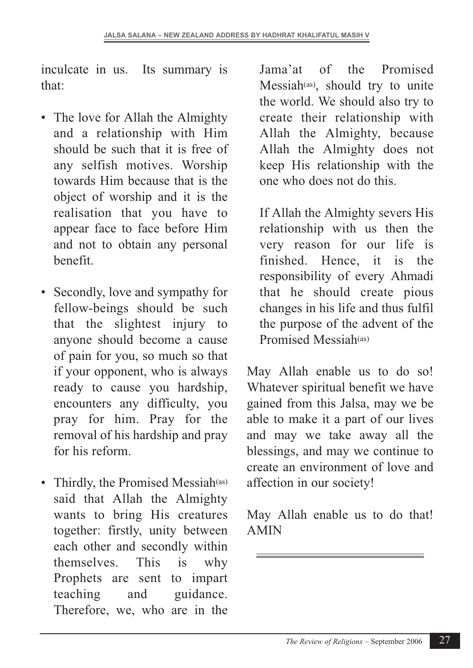inculcate in us. Its summary is that:

- The love for Allah the Almighty and a relationship with Him should be such that it is free of any selfish motives. Worship towards Him because that is the object of worship and it is the realisation that you have to appear face to face before Him and not to obtain any personal benefit.
- Secondly, love and sympathy for fellow-beings should be such that the slightest injury to anyone should become a cause of pain for you, so much so that if your opponent, who is always ready to cause you hardship, encounters any difficulty, you pray for him. Pray for the removal of his hardship and pray for his reform.
- Thirdly, the Promised Messiah(as) said that Allah the Almighty wants to bring His creatures together: firstly, unity between each other and secondly within themselves. This is why Prophets are sent to impart teaching and guidance. Therefore, we, who are in the

Jama'at of the Promised Messiah<sup>(as)</sup>, should try to unite the world. We should also try to create their relationship with Allah the Almighty, because Allah the Almighty does not keep His relationship with the one who does not do this.

If Allah the Almighty severs His relationship with us then the very reason for our life is finished. Hence, it is the responsibility of every Ahmadi that he should create pious changes in his life and thus fulfil the purpose of the advent of the Promised Messiah(as)

May Allah enable us to do so! Whatever spiritual benefit we have gained from this Jalsa, may we be able to make it a part of our lives and may we take away all the blessings, and may we continue to create an environment of love and affection in our society!

May Allah enable us to do that! AMIN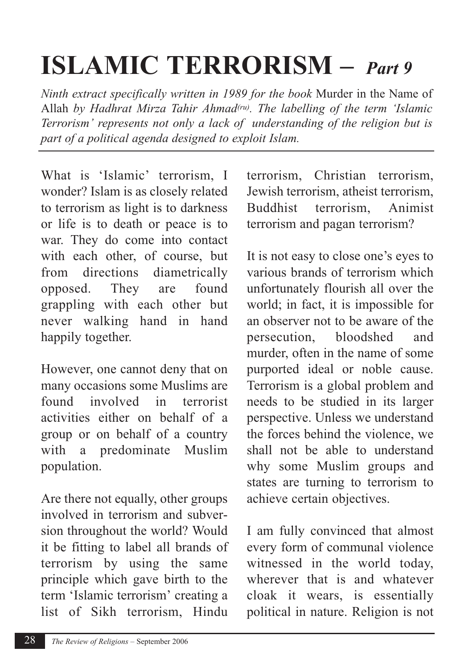### **ISLAMIC TERRORISM –** *Part 9*

*Ninth extract specifically written in 1989 for the book* Murder in the Name of Allah *by Hadhrat Mirza Tahir Ahmad(ru). The labelling of the term 'Islamic Terrorism' represents not only a lack of understanding of the religion but is part of a political agenda designed to exploit Islam.*

What is 'Islamic' terrorism, I wonder? Islam is as closely related to terrorism as light is to darkness or life is to death or peace is to war. They do come into contact with each other, of course, but from directions diametrically opposed. They are found grappling with each other but never walking hand in hand happily together.

However, one cannot deny that on many occasions some Muslims are found involved in terrorist activities either on behalf of a group or on behalf of a country with a predominate Muslim population.

Are there not equally, other groups involved in terrorism and subversion throughout the world? Would it be fitting to label all brands of terrorism by using the same principle which gave birth to the term 'Islamic terrorism' creating a list of Sikh terrorism, Hindu terrorism, Christian terrorism, Jewish terrorism, atheist terrorism, Buddhist terrorism, Animist terrorism and pagan terrorism?

It is not easy to close one's eyes to various brands of terrorism which unfortunately flourish all over the world; in fact, it is impossible for an observer not to be aware of the persecution, bloodshed and murder, often in the name of some purported ideal or noble cause. Terrorism is a global problem and needs to be studied in its larger perspective. Unless we understand the forces behind the violence, we shall not be able to understand why some Muslim groups and states are turning to terrorism to achieve certain objectives.

I am fully convinced that almost every form of communal violence witnessed in the world today, wherever that is and whatever cloak it wears, is essentially political in nature. Religion is not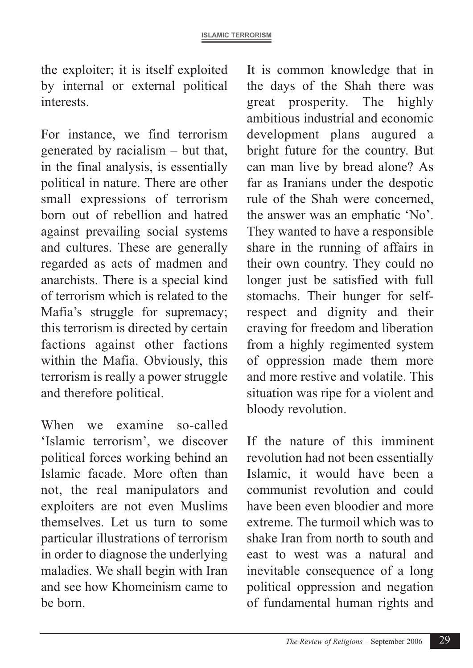the exploiter; it is itself exploited by internal or external political interests.

For instance, we find terrorism generated by racialism – but that, in the final analysis, is essentially political in nature. There are other small expressions of terrorism born out of rebellion and hatred against prevailing social systems and cultures. These are generally regarded as acts of madmen and anarchists. There is a special kind of terrorism which is related to the Mafia's struggle for supremacy; this terrorism is directed by certain factions against other factions within the Mafia. Obviously, this terrorism is really a power struggle and therefore political.

When we examine so-called 'Islamic terrorism', we discover political forces working behind an Islamic facade. More often than not, the real manipulators and exploiters are not even Muslims themselves. Let us turn to some particular illustrations of terrorism in order to diagnose the underlying maladies. We shall begin with Iran and see how Khomeinism came to be born.

It is common knowledge that in the days of the Shah there was great prosperity. The highly ambitious industrial and economic development plans augured a bright future for the country. But can man live by bread alone? As far as Iranians under the despotic rule of the Shah were concerned, the answer was an emphatic 'No'. They wanted to have a responsible share in the running of affairs in their own country. They could no longer just be satisfied with full stomachs. Their hunger for selfrespect and dignity and their craving for freedom and liberation from a highly regimented system of oppression made them more and more restive and volatile. This situation was ripe for a violent and bloody revolution.

If the nature of this imminent revolution had not been essentially Islamic, it would have been a communist revolution and could have been even bloodier and more extreme. The turmoil which was to shake Iran from north to south and east to west was a natural and inevitable consequence of a long political oppression and negation of fundamental human rights and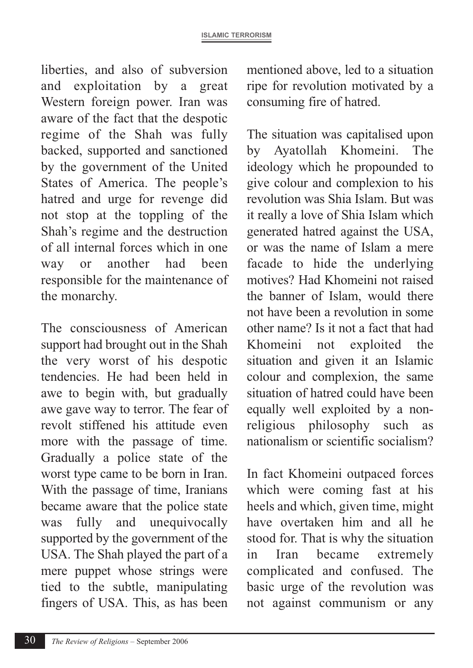liberties, and also of subversion and exploitation by a great Western foreign power. Iran was aware of the fact that the despotic regime of the Shah was fully backed, supported and sanctioned by the government of the United States of America. The people's hatred and urge for revenge did not stop at the toppling of the Shah's regime and the destruction of all internal forces which in one way or another had been responsible for the maintenance of the monarchy.

The consciousness of American support had brought out in the Shah the very worst of his despotic tendencies. He had been held in awe to begin with, but gradually awe gave way to terror. The fear of revolt stiffened his attitude even more with the passage of time. Gradually a police state of the worst type came to be born in Iran. With the passage of time, Iranians became aware that the police state was fully and unequivocally supported by the government of the USA. The Shah played the part of a mere puppet whose strings were tied to the subtle, manipulating fingers of USA. This, as has been

mentioned above, led to a situation ripe for revolution motivated by a consuming fire of hatred.

The situation was capitalised upon by Ayatollah Khomeini. The ideology which he propounded to give colour and complexion to his revolution was Shia Islam. But was it really a love of Shia Islam which generated hatred against the USA, or was the name of Islam a mere facade to hide the underlying motives? Had Khomeini not raised the banner of Islam, would there not have been a revolution in some other name? Is it not a fact that had Khomeini not exploited the situation and given it an Islamic colour and complexion, the same situation of hatred could have been equally well exploited by a nonreligious philosophy such as nationalism or scientific socialism?

In fact Khomeini outpaced forces which were coming fast at his heels and which, given time, might have overtaken him and all he stood for. That is why the situation in Iran became extremely complicated and confused. The basic urge of the revolution was not against communism or any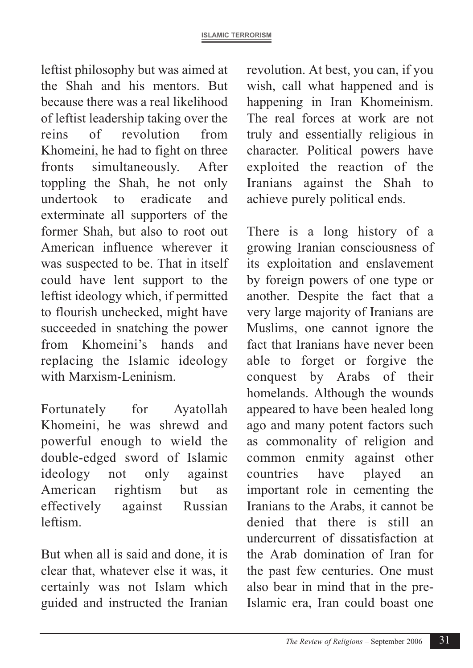leftist philosophy but was aimed at the Shah and his mentors. But because there was a real likelihood of leftist leadership taking over the reins of revolution from Khomeini, he had to fight on three fronts simultaneously. After toppling the Shah, he not only undertook to eradicate and exterminate all supporters of the former Shah, but also to root out American influence wherever it was suspected to be. That in itself could have lent support to the leftist ideology which, if permitted to flourish unchecked, might have succeeded in snatching the power from Khomeini's hands and replacing the Islamic ideology with Marxism-Leninism.

Fortunately for Ayatollah Khomeini, he was shrewd and powerful enough to wield the double-edged sword of Islamic ideology not only against American rightism but as effectively against Russian leftism.

But when all is said and done, it is clear that, whatever else it was, it certainly was not Islam which guided and instructed the Iranian revolution. At best, you can, if you wish, call what happened and is happening in Iran Khomeinism. The real forces at work are not truly and essentially religious in character. Political powers have exploited the reaction of the Iranians against the Shah to achieve purely political ends.

There is a long history of a growing Iranian consciousness of its exploitation and enslavement by foreign powers of one type or another. Despite the fact that a very large majority of Iranians are Muslims, one cannot ignore the fact that Iranians have never been able to forget or forgive the conquest by Arabs of their homelands. Although the wounds appeared to have been healed long ago and many potent factors such as commonality of religion and common enmity against other countries have played an important role in cementing the Iranians to the Arabs, it cannot be denied that there is still an undercurrent of dissatisfaction at the Arab domination of Iran for the past few centuries. One must also bear in mind that in the pre-Islamic era, Iran could boast one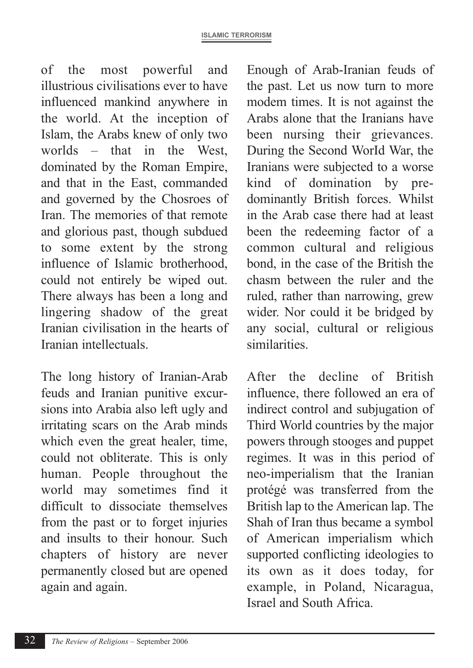of the most powerful and illustrious civilisations ever to have influenced mankind anywhere in the world. At the inception of Islam, the Arabs knew of only two worlds – that in the West, dominated by the Roman Empire, and that in the East, commanded and governed by the Chosroes of Iran. The memories of that remote and glorious past, though subdued to some extent by the strong influence of Islamic brotherhood, could not entirely be wiped out. There always has been a long and lingering shadow of the great Iranian civilisation in the hearts of Iranian intellectuals.

The long history of Iranian-Arab feuds and Iranian punitive excursions into Arabia also left ugly and irritating scars on the Arab minds which even the great healer, time, could not obliterate. This is only human. People throughout the world may sometimes find it difficult to dissociate themselves from the past or to forget injuries and insults to their honour. Such chapters of history are never permanently closed but are opened again and again.

Enough of Arab-Iranian feuds of the past. Let us now turn to more modem times. It is not against the Arabs alone that the Iranians have been nursing their grievances. During the Second WorId War, the Iranians were subjected to a worse kind of domination by predominantly British forces. Whilst in the Arab case there had at least been the redeeming factor of a common cultural and religious bond, in the case of the British the chasm between the ruler and the ruled, rather than narrowing, grew wider. Nor could it be bridged by any social, cultural or religious similarities.

After the decline of British influence, there followed an era of indirect control and subjugation of Third World countries by the major powers through stooges and puppet regimes. It was in this period of neo-imperialism that the Iranian protégé was transferred from the British lap to the American lap. The Shah of Iran thus became a symbol of American imperialism which supported conflicting ideologies to its own as it does today, for example, in Poland, Nicaragua, Israel and South Africa.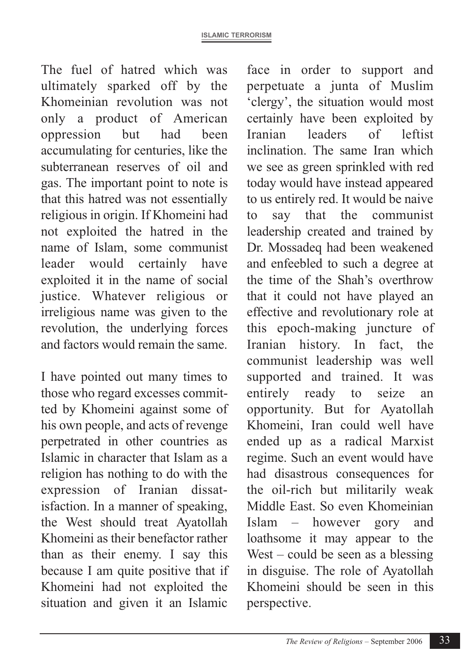The fuel of hatred which was ultimately sparked off by the Khomeinian revolution was not only a product of American oppression but had been accumulating for centuries, like the subterranean reserves of oil and gas. The important point to note is that this hatred was not essentially religious in origin. If Khomeini had not exploited the hatred in the name of Islam, some communist leader would certainly have exploited it in the name of social justice. Whatever religious or irreligious name was given to the revolution, the underlying forces and factors would remain the same.

I have pointed out many times to those who regard excesses committed by Khomeini against some of his own people, and acts of revenge perpetrated in other countries as Islamic in character that Islam as a religion has nothing to do with the expression of Iranian dissatisfaction. In a manner of speaking, the West should treat Ayatollah Khomeini as their benefactor rather than as their enemy. I say this because I am quite positive that if Khomeini had not exploited the situation and given it an Islamic

face in order to support and perpetuate a junta of Muslim 'clergy', the situation would most certainly have been exploited by Iranian leaders of leftist inclination. The same Iran which we see as green sprinkled with red today would have instead appeared to us entirely red. It would be naive to say that the communist leadership created and trained by Dr. Mossadeq had been weakened and enfeebled to such a degree at the time of the Shah's overthrow that it could not have played an effective and revolutionary role at this epoch-making juncture of Iranian history. In fact, the communist leadership was well supported and trained. It was entirely ready to seize an opportunity. But for Ayatollah Khomeini, Iran could well have ended up as a radical Marxist regime. Such an event would have had disastrous consequences for the oil-rich but militarily weak Middle East. So even Khomeinian Islam – however gory and loathsome it may appear to the West – could be seen as a blessing in disguise. The role of Ayatollah Khomeini should be seen in this perspective.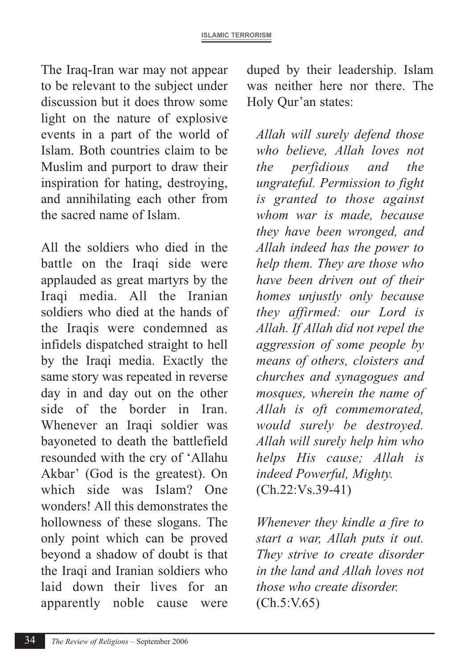The Iraq-Iran war may not appear to be relevant to the subject under discussion but it does throw some light on the nature of explosive events in a part of the world of Islam. Both countries claim to be Muslim and purport to draw their inspiration for hating, destroying, and annihilating each other from the sacred name of Islam.

All the soldiers who died in the battle on the Iraqi side were applauded as great martyrs by the Iraqi media. All the Iranian soldiers who died at the hands of the Iraqis were condemned as infidels dispatched straight to hell by the Iraqi media. Exactly the same story was repeated in reverse day in and day out on the other side of the border in Iran. Whenever an Iraqi soldier was bayoneted to death the battlefield resounded with the cry of 'Allahu Akbar' (God is the greatest). On which side was Islam? One wonders! All this demonstrates the hollowness of these slogans. The only point which can be proved beyond a shadow of doubt is that the Iraqi and Iranian soldiers who laid down their lives for an apparently noble cause were

duped by their leadership. Islam was neither here nor there. The Holy Qur'an states:

*Allah will surely defend those who believe, Allah loves not the perfidious and the ungrateful. Permission to fight is granted to those against whom war is made, because they have been wronged, and Allah indeed has the power to help them. They are those who have been driven out of their homes unjustly only because they affirmed: our Lord is Allah. If Allah did not repel the aggression of some people by means of others, cloisters and churches and synagogues and mosques, wherein the name of Allah is oft commemorated, would surely be destroyed. Allah will surely help him who helps His cause; Allah is indeed Powerful, Mighty.*  (Ch.22:Vs.39-41)

*Whenever they kindle a fire to start a war, Allah puts it out. They strive to create disorder in the land and Allah loves not those who create disorder.* (Ch.5:V.65)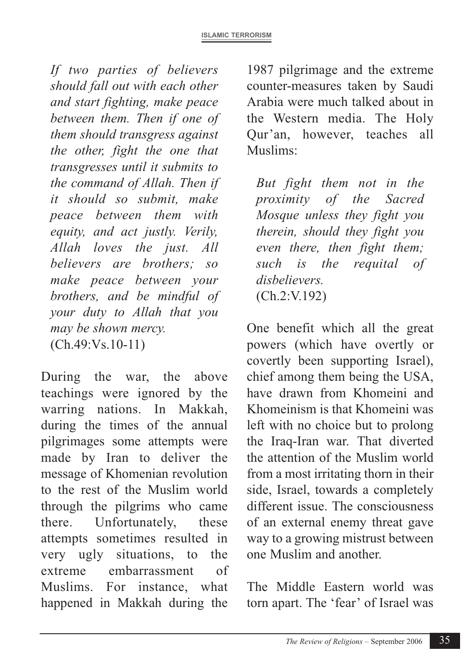*If two parties of believers should fall out with each other and start fighting, make peace between them. Then if one of them should transgress against the other, fight the one that transgresses until it submits to the command of Allah. Then if it should so submit, make peace between them with equity, and act justly. Verily, Allah loves the just. All believers are brothers; so make peace between your brothers, and be mindful of your duty to Allah that you may be shown mercy.* (Ch.49:Vs.10-11)

During the war, the above teachings were ignored by the warring nations. In Makkah, during the times of the annual pilgrimages some attempts were made by Iran to deliver the message of Khomenian revolution to the rest of the Muslim world through the pilgrims who came there. Unfortunately, these attempts sometimes resulted in very ugly situations, to the extreme embarrassment of Muslims. For instance, what happened in Makkah during the

1987 pilgrimage and the extreme counter-measures taken by Saudi Arabia were much talked about in the Western media. The Holy Qur'an, however, teaches all Muslims:

*But fight them not in the proximity of the Sacred Mosque unless they fight you therein, should they fight you even there, then fight them; such is the requital of disbelievers.* (Ch.2:V.192)

One benefit which all the great powers (which have overtly or covertly been supporting Israel), chief among them being the USA, have drawn from Khomeini and Khomeinism is that Khomeini was left with no choice but to prolong the Iraq-Iran war. That diverted the attention of the Muslim world from a most irritating thorn in their side, Israel, towards a completely different issue. The consciousness of an external enemy threat gave way to a growing mistrust between one Muslim and another.

The Middle Eastern world was torn apart. The 'fear' of Israel was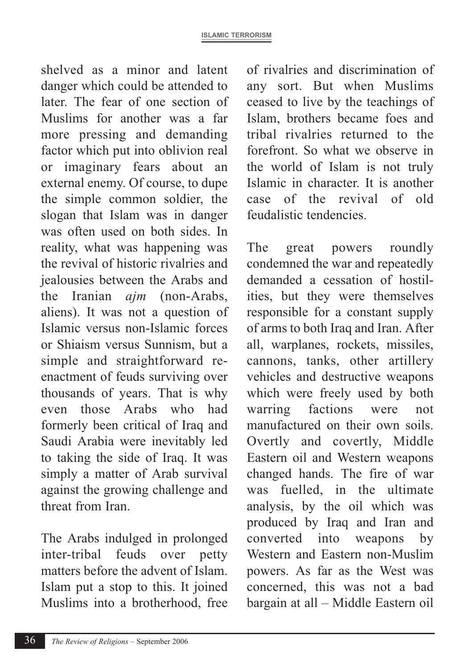shelved as a minor and latent danger which could be attended to later. The fear of one section of Muslims for another was a far more pressing and demanding factor which put into oblivion real or imaginary fears about an external enemy. Of course, to dupe the simple common soldier, the slogan that Islam was in danger was often used on both sides. In reality, what was happening was the revival of historic rivalries and jealousies between the Arabs and the Iranian *ajm* (non-Arabs, aliens). It was not a question of Islamic versus non-Islamic forces or Shiaism versus Sunnism, but a simple and straightforward reenactment of feuds surviving over thousands of years. That is why even those Arabs who had formerly been critical of Iraq and Saudi Arabia were inevitably led to taking the side of Iraq. It was simply a matter of Arab survival against the growing challenge and threat from Iran.

The Arabs indulged in prolonged inter-tribal feuds over petty matters before the advent of Islam. Islam put a stop to this. It joined Muslims into a brotherhood, free

of rivalries and discrimination of any sort. But when Muslims ceased to live by the teachings of Islam, brothers became foes and tribal rivalries returned to the forefront. So what we observe in the world of Islam is not truly Islamic in character. It is another case of the revival of old feudalistic tendencies.

The great powers roundly condemned the war and repeatedly demanded a cessation of hostilities, but they were themselves responsible for a constant supply of arms to both Iraq and Iran. After all, warplanes, rockets, missiles, cannons, tanks, other artillery vehicles and destructive weapons which were freely used by both warring factions were not manufactured on their own soils. Overtly and covertly, Middle Eastern oil and Western weapons changed hands. The fire of war was fuelled, in the ultimate analysis, by the oil which was produced by Iraq and Iran and converted into weapons by Western and Eastern non-Muslim powers. As far as the West was concerned, this was not a bad bargain at all – Middle Eastern oil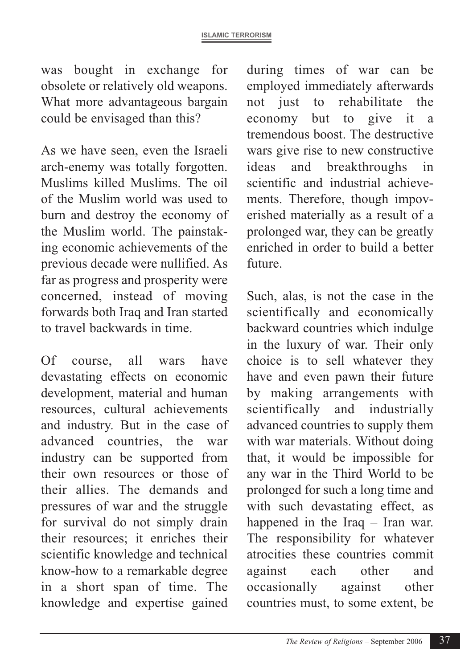was bought in exchange for obsolete or relatively old weapons. What more advantageous bargain could be envisaged than this?

As we have seen, even the Israeli arch-enemy was totally forgotten. Muslims killed Muslims. The oil of the Muslim world was used to burn and destroy the economy of the Muslim world. The painstaking economic achievements of the previous decade were nullified. As far as progress and prosperity were concerned, instead of moving forwards both Iraq and Iran started to travel backwards in time.

Of course, all wars have devastating effects on economic development, material and human resources, cultural achievements and industry. But in the case of advanced countries, the war industry can be supported from their own resources or those of their allies. The demands and pressures of war and the struggle for survival do not simply drain their resources; it enriches their scientific knowledge and technical know-how to a remarkable degree in a short span of time. The knowledge and expertise gained

during times of war can be employed immediately afterwards not just to rehabilitate the economy but to give it a tremendous boost. The destructive wars give rise to new constructive ideas and breakthroughs in scientific and industrial achievements. Therefore, though impoverished materially as a result of a prolonged war, they can be greatly enriched in order to build a better future.

Such, alas, is not the case in the scientifically and economically backward countries which indulge in the luxury of war. Their only choice is to sell whatever they have and even pawn their future by making arrangements with scientifically and industrially advanced countries to supply them with war materials. Without doing that, it would be impossible for any war in the Third World to be prolonged for such a long time and with such devastating effect, as happened in the Iraq – Iran war. The responsibility for whatever atrocities these countries commit against each other and occasionally against other countries must, to some extent, be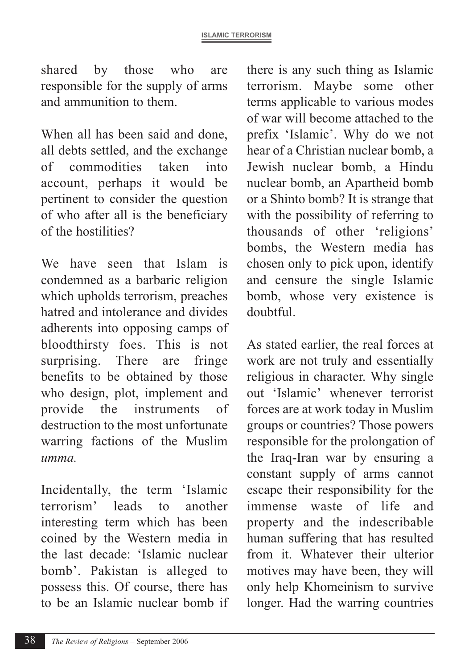shared by those who are responsible for the supply of arms and ammunition to them.

When all has been said and done, all debts settled, and the exchange of commodities taken into account, perhaps it would be pertinent to consider the question of who after all is the beneficiary of the hostilities?

We have seen that Islam is condemned as a barbaric religion which upholds terrorism, preaches hatred and intolerance and divides adherents into opposing camps of bloodthirsty foes. This is not surprising. There are fringe benefits to be obtained by those who design, plot, implement and provide the instruments of destruction to the most unfortunate warring factions of the Muslim *umma.*

Incidentally, the term 'Islamic terrorism' leads to another interesting term which has been coined by the Western media in the last decade: 'Islamic nuclear bomb'. Pakistan is alleged to possess this. Of course, there has to be an Islamic nuclear bomb if there is any such thing as Islamic terrorism. Maybe some other terms applicable to various modes of war will become attached to the prefix 'Islamic'. Why do we not hear of a Christian nuclear bomb, a Jewish nuclear bomb, a Hindu nuclear bomb, an Apartheid bomb or a Shinto bomb? It is strange that with the possibility of referring to thousands of other 'religions' bombs, the Western media has chosen only to pick upon, identify and censure the single Islamic bomb, whose very existence is doubtful

As stated earlier, the real forces at work are not truly and essentially religious in character. Why single out 'Islamic' whenever terrorist forces are at work today in Muslim groups or countries? Those powers responsible for the prolongation of the Iraq-Iran war by ensuring a constant supply of arms cannot escape their responsibility for the immense waste of life and property and the indescribable human suffering that has resulted from it. Whatever their ulterior motives may have been, they will only help Khomeinism to survive longer. Had the warring countries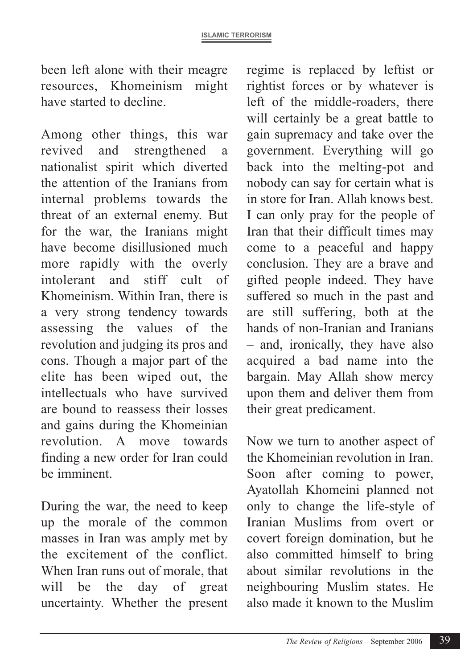been left alone with their meagre resources, Khomeinism might have started to decline.

Among other things, this war revived and strengthened a nationalist spirit which diverted the attention of the Iranians from internal problems towards the threat of an external enemy. But for the war, the Iranians might have become disillusioned much more rapidly with the overly intolerant and stiff cult of Khomeinism. Within Iran, there is a very strong tendency towards assessing the values of the revolution and judging its pros and cons. Though a major part of the elite has been wiped out, the intellectuals who have survived are bound to reassess their losses and gains during the Khomeinian revolution. A move towards finding a new order for Iran could be imminent.

During the war, the need to keep up the morale of the common masses in Iran was amply met by the excitement of the conflict. When Iran runs out of morale, that will be the day of great uncertainty. Whether the present

regime is replaced by leftist or rightist forces or by whatever is left of the middle-roaders, there will certainly be a great battle to gain supremacy and take over the government. Everything will go back into the melting-pot and nobody can say for certain what is in store for Iran. Allah knows best. I can only pray for the people of Iran that their difficult times may come to a peaceful and happy conclusion. They are a brave and gifted people indeed. They have suffered so much in the past and are still suffering, both at the hands of non-Iranian and Iranians – and, ironically, they have also acquired a bad name into the bargain. May Allah show mercy upon them and deliver them from their great predicament.

Now we turn to another aspect of the Khomeinian revolution in Iran. Soon after coming to power, Ayatollah Khomeini planned not only to change the life-style of Iranian Muslims from overt or covert foreign domination, but he also committed himself to bring about similar revolutions in the neighbouring Muslim states. He also made it known to the Muslim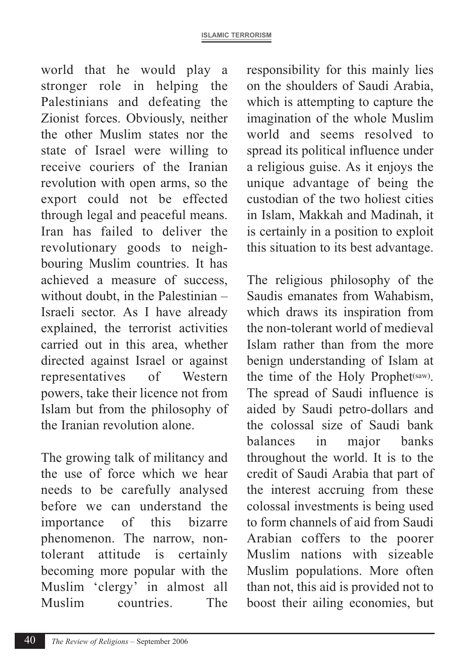world that he would play a stronger role in helping the Palestinians and defeating the Zionist forces. Obviously, neither the other Muslim states nor the state of Israel were willing to receive couriers of the Iranian revolution with open arms, so the export could not be effected through legal and peaceful means. Iran has failed to deliver the revolutionary goods to neighbouring Muslim countries. It has achieved a measure of success, without doubt, in the Palestinian – Israeli sector. As I have already explained, the terrorist activities carried out in this area, whether directed against Israel or against representatives of Western powers, take their licence not from Islam but from the philosophy of the Iranian revolution alone.

The growing talk of militancy and the use of force which we hear needs to be carefully analysed before we can understand the importance of this bizarre phenomenon. The narrow, nontolerant attitude is certainly becoming more popular with the Muslim 'clergy' in almost all Muslim countries. The

responsibility for this mainly lies on the shoulders of Saudi Arabia, which is attempting to capture the imagination of the whole Muslim world and seems resolved to spread its political influence under a religious guise. As it enjoys the unique advantage of being the custodian of the two holiest cities in Islam, Makkah and Madinah, it is certainly in a position to exploit this situation to its best advantage.

The religious philosophy of the Saudis emanates from Wahabism, which draws its inspiration from the non-tolerant world of medieval Islam rather than from the more benign understanding of Islam at the time of the Holy Prophet<sup>(saw)</sup>. The spread of Saudi influence is aided by Saudi petro-dollars and the colossal size of Saudi bank balances in major banks throughout the world. It is to the credit of Saudi Arabia that part of the interest accruing from these colossal investments is being used to form channels of aid from Saudi Arabian coffers to the poorer Muslim nations with sizeable Muslim populations. More often than not, this aid is provided not to boost their ailing economies, but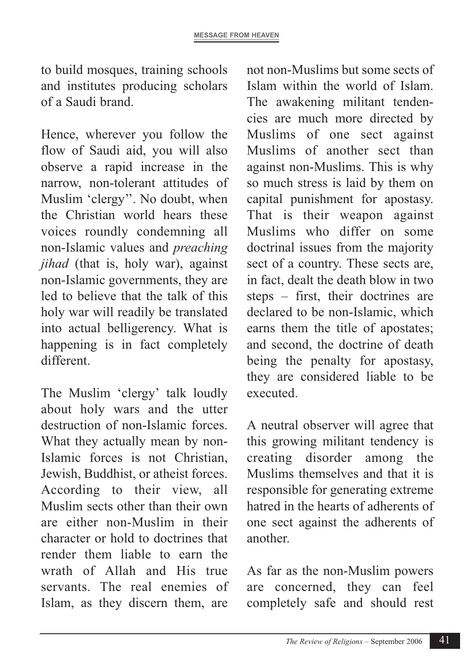to build mosques, training schools and institutes producing scholars of a Saudi brand.

Hence, wherever you follow the flow of Saudi aid, you will also observe a rapid increase in the narrow, non-tolerant attitudes of Muslim 'clergy''. No doubt, when the Christian world hears these voices roundly condemning all non-Islamic values and *preaching jihad* (that is, holy war), against non-Islamic governments, they are led to believe that the talk of this holy war will readily be translated into actual belligerency. What is happening is in fact completely different.

The Muslim 'clergy' talk loudly about holy wars and the utter destruction of non-Islamic forces. What they actually mean by non-Islamic forces is not Christian, Jewish, Buddhist, or atheist forces. According to their view, all Muslim sects other than their own are either non-Muslim in their character or hold to doctrines that render them liable to earn the wrath of Allah and His true servants. The real enemies of Islam, as they discern them, are

not non-Muslims but some sects of Islam within the world of Islam. The awakening militant tendencies are much more directed by Muslims of one sect against Muslims of another sect than against non-Muslims. This is why so much stress is laid by them on capital punishment for apostasy. That is their weapon against Muslims who differ on some doctrinal issues from the majority sect of a country. These sects are, in fact, dealt the death blow in two steps – first, their doctrines are declared to be non-Islamic, which earns them the title of apostates; and second, the doctrine of death being the penalty for apostasy, they are considered liable to be executed.

A neutral observer will agree that this growing militant tendency is creating disorder among the Muslims themselves and that it is responsible for generating extreme hatred in the hearts of adherents of one sect against the adherents of another.

As far as the non-Muslim powers are concerned, they can feel completely safe and should rest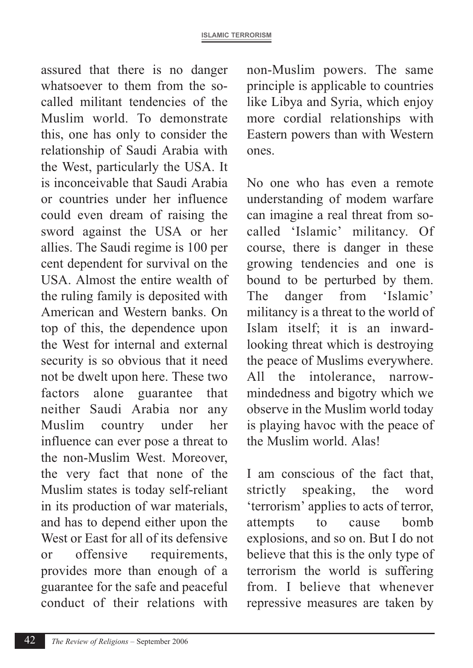assured that there is no danger whatsoever to them from the socalled militant tendencies of the Muslim world. To demonstrate this, one has only to consider the relationship of Saudi Arabia with the West, particularly the USA. It is inconceivable that Saudi Arabia or countries under her influence could even dream of raising the sword against the USA or her allies. The Saudi regime is 100 per cent dependent for survival on the USA. Almost the entire wealth of the ruling family is deposited with American and Western banks. On top of this, the dependence upon the West for internal and external security is so obvious that it need not be dwelt upon here. These two factors alone guarantee that neither Saudi Arabia nor any Muslim country under her influence can ever pose a threat to the non-Muslim West. Moreover, the very fact that none of the Muslim states is today self-reliant in its production of war materials, and has to depend either upon the West or East for all of its defensive or offensive requirements, provides more than enough of a guarantee for the safe and peaceful conduct of their relations with non-Muslim powers. The same principle is applicable to countries like Libya and Syria, which enjoy more cordial relationships with Eastern powers than with Western ones.

No one who has even a remote understanding of modem warfare can imagine a real threat from socalled 'Islamic' militancy. Of course, there is danger in these growing tendencies and one is bound to be perturbed by them. The danger from 'Islamic' militancy is a threat to the world of Islam itself; it is an inwardlooking threat which is destroying the peace of Muslims everywhere. All the intolerance, narrowmindedness and bigotry which we observe in the Muslim world today is playing havoc with the peace of the Muslim world. Alas!

I am conscious of the fact that, strictly speaking, the word 'terrorism' applies to acts of terror, attempts to cause bomb explosions, and so on. But I do not believe that this is the only type of terrorism the world is suffering from. I believe that whenever repressive measures are taken by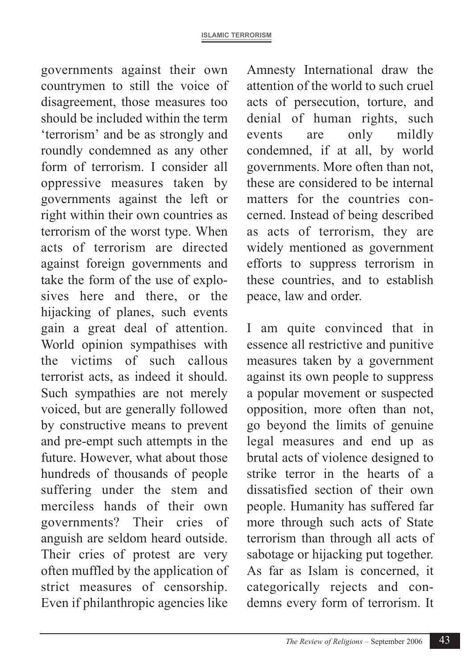governments against their own countrymen to still the voice of disagreement, those measures too should be included within the term 'terrorism' and be as strongly and roundly condemned as any other form of terrorism. I consider all oppressive measures taken by governments against the left or right within their own countries as terrorism of the worst type. When acts of terrorism are directed against foreign governments and take the form of the use of explosives here and there, or the hijacking of planes, such events gain a great deal of attention. World opinion sympathises with the victims of such callous terrorist acts, as indeed it should. Such sympathies are not merely voiced, but are generally followed by constructive means to prevent and pre-empt such attempts in the future. However, what about those hundreds of thousands of people suffering under the stem and merciless hands of their own governments? Their cries of anguish are seldom heard outside. Their cries of protest are very often muffled by the application of strict measures of censorship. Even if philanthropic agencies like

Amnesty International draw the attention of the world to such cruel acts of persecution, torture, and denial of human rights, such events are only mildly condemned, if at all, by world governments. More often than not, these are considered to be internal matters for the countries concerned. Instead of being described as acts of terrorism, they are widely mentioned as government efforts to suppress terrorism in these countries, and to establish peace, law and order.

I am quite convinced that in essence all restrictive and punitive measures taken by a government against its own people to suppress a popular movement or suspected opposition, more often than not, go beyond the limits of genuine legal measures and end up as brutal acts of violence designed to strike terror in the hearts of a dissatisfied section of their own people. Humanity has suffered far more through such acts of State terrorism than through all acts of sabotage or hijacking put together. As far as Islam is concerned, it categorically rejects and condemns every form of terrorism. It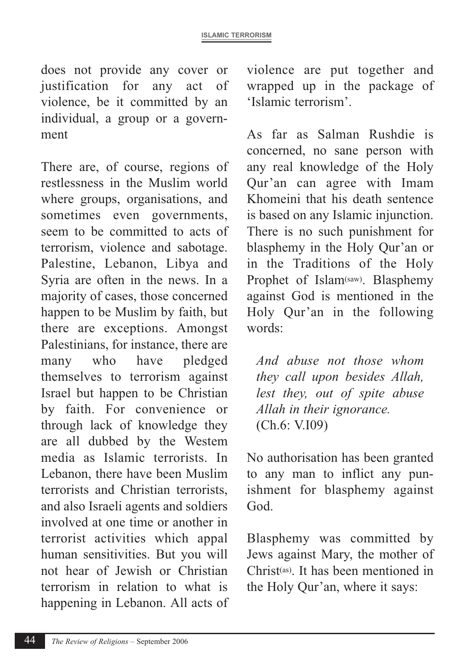does not provide any cover or justification for any act of violence, be it committed by an individual, a group or a government

There are, of course, regions of restlessness in the Muslim world where groups, organisations, and sometimes even governments, seem to be committed to acts of terrorism, violence and sabotage. Palestine, Lebanon, Libya and Syria are often in the news. In a majority of cases, those concerned happen to be Muslim by faith, but there are exceptions. Amongst Palestinians, for instance, there are many who have pledged themselves to terrorism against Israel but happen to be Christian by faith. For convenience or through lack of knowledge they are all dubbed by the Westem media as Islamic terrorists. In Lebanon, there have been Muslim terrorists and Christian terrorists, and also Israeli agents and soldiers involved at one time or another in terrorist activities which appal human sensitivities. But you will not hear of Jewish or Christian terrorism in relation to what is happening in Lebanon. All acts of violence are put together and wrapped up in the package of 'Islamic terrorism'.

As far as Salman Rushdie is concerned, no sane person with any real knowledge of the Holy Qur'an can agree with Imam Khomeini that his death sentence is based on any Islamic injunction. There is no such punishment for blasphemy in the Holy Qur'an or in the Traditions of the Holy Prophet of Islam(saw). Blasphemy against God is mentioned in the Holy Qur'an in the following words:

*And abuse not those whom they call upon besides Allah, lest they, out of spite abuse Allah in their ignorance.*  (Ch.6: V.I09)

No authorisation has been granted to any man to inflict any punishment for blasphemy against God.

Blasphemy was committed by Jews against Mary, the mother of Christ(as). It has been mentioned in the Holy Qur'an, where it says: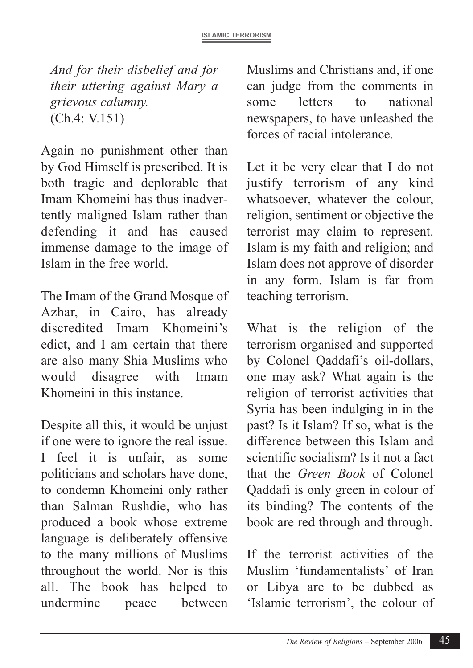*And for their disbelief and for their uttering against Mary a grievous calumny.*  (Ch.4: V.151)

Again no punishment other than by God Himself is prescribed. It is both tragic and deplorable that Imam Khomeini has thus inadvertently maligned Islam rather than defending it and has caused immense damage to the image of Islam in the free world.

The Imam of the Grand Mosque of Azhar, in Cairo, has already discredited Imam Khomeini's edict, and I am certain that there are also many Shia Muslims who would disagree with Imam Khomeini in this instance.

Despite all this, it would be unjust if one were to ignore the real issue. I feel it is unfair, as some politicians and scholars have done, to condemn Khomeini only rather than Salman Rushdie, who has produced a book whose extreme language is deliberately offensive to the many millions of Muslims throughout the world. Nor is this all. The book has helped to undermine peace between

Muslims and Christians and, if one can judge from the comments in some letters to national newspapers, to have unleashed the forces of racial intolerance.

Let it be very clear that I do not justify terrorism of any kind whatsoever, whatever the colour, religion, sentiment or objective the terrorist may claim to represent. Islam is my faith and religion; and Islam does not approve of disorder in any form. Islam is far from teaching terrorism.

What is the religion of the terrorism organised and supported by Colonel Qaddafi's oil-dollars, one may ask? What again is the religion of terrorist activities that Syria has been indulging in in the past? Is it Islam? If so, what is the difference between this Islam and scientific socialism? Is it not a fact that the *Green Book* of Colonel Qaddafi is only green in colour of its binding? The contents of the book are red through and through.

If the terrorist activities of the Muslim 'fundamentalists' of Iran or Libya are to be dubbed as 'Islamic terrorism', the colour of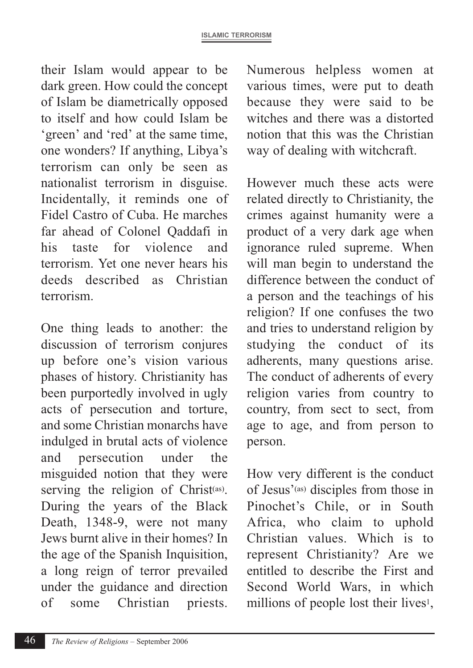their Islam would appear to be dark green. How could the concept of Islam be diametrically opposed to itself and how could Islam be 'green' and 'red' at the same time, one wonders? If anything, Libya's terrorism can only be seen as nationalist terrorism in disguise. Incidentally, it reminds one of Fidel Castro of Cuba. He marches far ahead of Colonel Qaddafi in his taste for violence and terrorism. Yet one never hears his deeds described as Christian terrorism.

One thing leads to another: the discussion of terrorism conjures up before one's vision various phases of history. Christianity has been purportedly involved in ugly acts of persecution and torture, and some Christian monarchs have indulged in brutal acts of violence and persecution under the misguided notion that they were serving the religion of Christ<sup>(as)</sup>. During the years of the Black Death, 1348-9, were not many Jews burnt alive in their homes? In the age of the Spanish Inquisition, a long reign of terror prevailed under the guidance and direction of some Christian priests.

Numerous helpless women at various times, were put to death because they were said to be witches and there was a distorted notion that this was the Christian way of dealing with witchcraft.

However much these acts were related directly to Christianity, the crimes against humanity were a product of a very dark age when ignorance ruled supreme. When will man begin to understand the difference between the conduct of a person and the teachings of his religion? If one confuses the two and tries to understand religion by studying the conduct of its adherents, many questions arise. The conduct of adherents of every religion varies from country to country, from sect to sect, from age to age, and from person to person.

How very different is the conduct of Jesus'(as) disciples from those in Pinochet's Chile, or in South Africa, who claim to uphold Christian values. Which is to represent Christianity? Are we entitled to describe the First and Second World Wars, in which millions of people lost their lives<sup>1</sup>,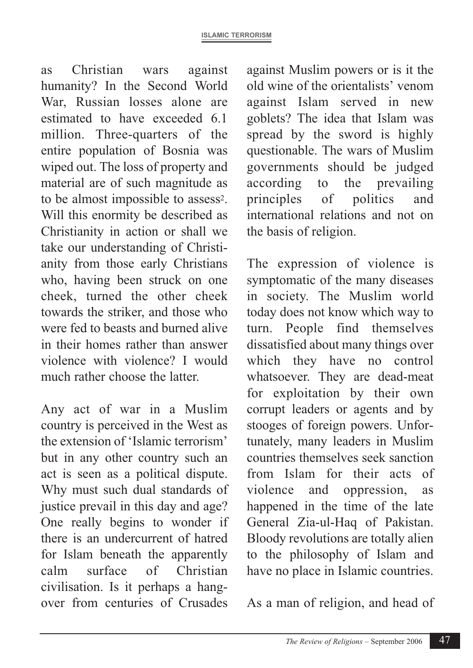as Christian wars against humanity? In the Second World War, Russian losses alone are estimated to have exceeded 6.1 million. Three-quarters of the entire population of Bosnia was wiped out. The loss of property and material are of such magnitude as to be almost impossible to assess2. Will this enormity be described as Christianity in action or shall we take our understanding of Christianity from those early Christians who, having been struck on one cheek, turned the other cheek towards the striker, and those who were fed to beasts and burned alive in their homes rather than answer violence with violence? I would much rather choose the latter.

Any act of war in a Muslim country is perceived in the West as the extension of 'Islamic terrorism' but in any other country such an act is seen as a political dispute. Why must such dual standards of justice prevail in this day and age? One really begins to wonder if there is an undercurrent of hatred for Islam beneath the apparently calm surface of Christian civilisation. Is it perhaps a hangover from centuries of Crusades against Muslim powers or is it the old wine of the orientalists' venom against Islam served in new goblets? The idea that Islam was spread by the sword is highly questionable. The wars of Muslim governments should be judged according to the prevailing principles of politics and international relations and not on the basis of religion.

The expression of violence is symptomatic of the many diseases in society. The Muslim world today does not know which way to turn. People find themselves dissatisfied about many things over which they have no control whatsoever. They are dead-meat for exploitation by their own corrupt leaders or agents and by stooges of foreign powers. Unfortunately, many leaders in Muslim countries themselves seek sanction from Islam for their acts of violence and oppression, as happened in the time of the late General Zia-ul-Haq of Pakistan. Bloody revolutions are totally alien to the philosophy of Islam and have no place in Islamic countries.

As a man of religion, and head of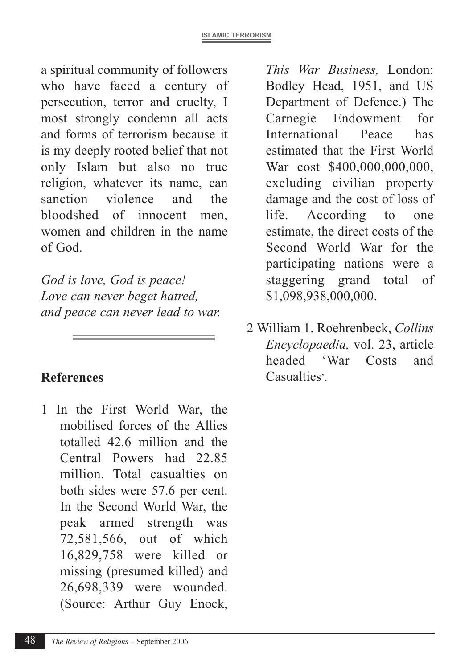a spiritual community of followers who have faced a century of persecution, terror and cruelty, I most strongly condemn all acts and forms of terrorism because it is my deeply rooted belief that not only Islam but also no true religion, whatever its name, can sanction violence and the bloodshed of innocent men, women and children in the name of God.

*God is love, God is peace! Love can never beget hatred, and peace can never lead to war.*

#### **References**

1 In the First World War, the mobilised forces of the Allies totalled 42.6 million and the Central Powers had 22.85 million. Total casualties on both sides were 57.6 per cent. In the Second World War, the peak armed strength was 72,581,566, out of which 16,829,758 were killed or missing (presumed killed) and 26,698,339 were wounded. (Source: Arthur Guy Enock,

*This War Business,* London: Bodley Head, 1951, and US Department of Defence.) The Carnegie Endowment for International Peace has estimated that the First World War cost \$400,000,000,000, excluding civilian property damage and the cost of loss of life. According to one estimate, the direct costs of the Second World War for the participating nations were a staggering grand total of \$1,098,938,000,000.

2 William 1. Roehrenbeck, *Collins Encyclopaedia,* vol. 23, article headed 'War Costs and Casualties'.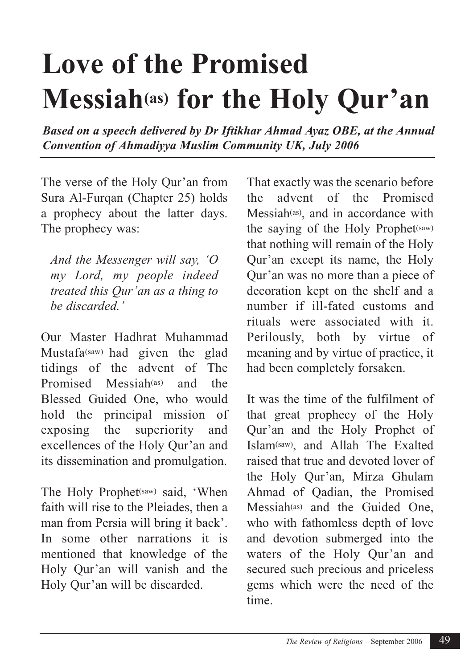## **Love of the Promised Messiah(as) for the Holy Qur'an**

*Based on a speech delivered by Dr Iftikhar Ahmad Ayaz OBE, at the Annual Convention of Ahmadiyya Muslim Community UK, July 2006*

The verse of the Holy Qur'an from Sura Al-Furqan (Chapter 25) holds a prophecy about the latter days. The prophecy was:

*And the Messenger will say, 'O my Lord, my people indeed treated this Qur'an as a thing to be discarded.'*

Our Master Hadhrat Muhammad Mustafa(saw) had given the glad tidings of the advent of The Promised Messiah(as) and the Blessed Guided One, who would hold the principal mission of exposing the superiority and excellences of the Holy Qur'an and its dissemination and promulgation.

The Holy Prophet<sup>(saw)</sup> said, 'When faith will rise to the Pleiades, then a man from Persia will bring it back'. In some other narrations it is mentioned that knowledge of the Holy Qur'an will vanish and the Holy Qur'an will be discarded.

That exactly was the scenario before the advent of the Promised Messiah<sup>(as)</sup>, and in accordance with the saying of the Holy Prophet<sup>(saw)</sup> that nothing will remain of the Holy Qur'an except its name, the Holy Qur'an was no more than a piece of decoration kept on the shelf and a number if ill-fated customs and rituals were associated with it. Perilously, both by virtue of meaning and by virtue of practice, it had been completely forsaken.

It was the time of the fulfilment of that great prophecy of the Holy Qur'an and the Holy Prophet of Islam(saw), and Allah The Exalted raised that true and devoted lover of the Holy Qur'an, Mirza Ghulam Ahmad of Qadian, the Promised Messiah<sup>(as)</sup> and the Guided One, who with fathomless depth of love and devotion submerged into the waters of the Holy Qur'an and secured such precious and priceless gems which were the need of the time.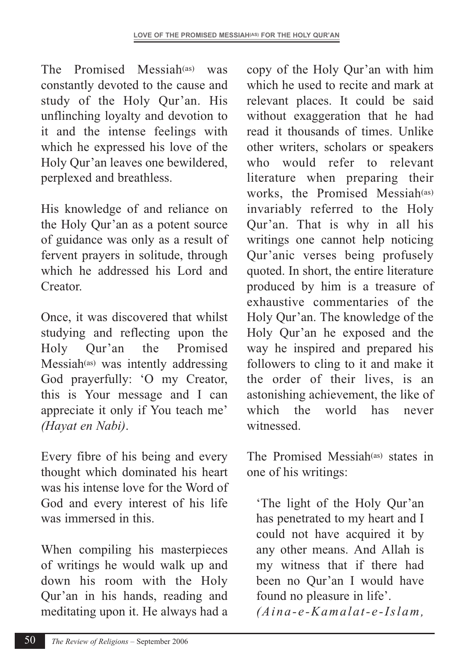The Promised Messiah(as) was constantly devoted to the cause and study of the Holy Qur'an. His unflinching loyalty and devotion to it and the intense feelings with which he expressed his love of the Holy Qur'an leaves one bewildered, perplexed and breathless.

His knowledge of and reliance on the Holy Qur'an as a potent source of guidance was only as a result of fervent prayers in solitude, through which he addressed his Lord and Creator.

Once, it was discovered that whilst studying and reflecting upon the Holy Qur'an the Promised Messiah<sup>(as)</sup> was intently addressing God prayerfully: 'O my Creator, this is Your message and I can appreciate it only if You teach me' *(Hayat en Nabi)*.

Every fibre of his being and every thought which dominated his heart was his intense love for the Word of God and every interest of his life was immersed in this.

When compiling his masterpieces of writings he would walk up and down his room with the Holy Qur'an in his hands, reading and meditating upon it. He always had a copy of the Holy Qur'an with him which he used to recite and mark at relevant places. It could be said without exaggeration that he had read it thousands of times. Unlike other writers, scholars or speakers who would refer to relevant literature when preparing their works, the Promised Messiah(as) invariably referred to the Holy Qur'an. That is why in all his writings one cannot help noticing Qur'anic verses being profusely quoted. In short, the entire literature produced by him is a treasure of exhaustive commentaries of the Holy Qur'an. The knowledge of the Holy Qur'an he exposed and the way he inspired and prepared his followers to cling to it and make it the order of their lives, is an astonishing achievement, the like of which the world has never witnessed.

The Promised Messiah(as) states in one of his writings:

'The light of the Holy Qur'an has penetrated to my heart and I could not have acquired it by any other means. And Allah is my witness that if there had been no Qur'an I would have found no pleasure in life'. *(Aina-e-Kamalat-e-Islam,*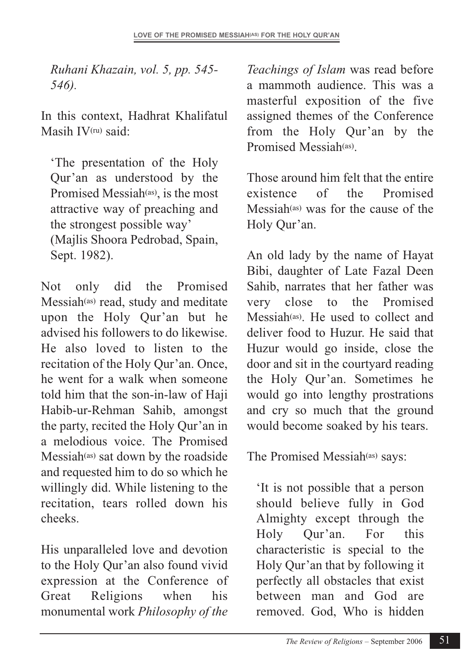*Ruhani Khazain, vol. 5, pp. 545- 546).* 

In this context, Hadhrat Khalifatul Masih IV(ru) said<sup>.</sup>

'The presentation of the Holy Qur'an as understood by the Promised Messiah(as), is the most attractive way of preaching and the strongest possible way' (Majlis Shoora Pedrobad, Spain, Sept. 1982).

Not only did the Promised Messiah<sup>(as)</sup> read, study and meditate upon the Holy Qur'an but he advised his followers to do likewise. He also loved to listen to the recitation of the Holy Qur'an. Once, he went for a walk when someone told him that the son-in-law of Haji Habib-ur-Rehman Sahib, amongst the party, recited the Holy Qur'an in a melodious voice. The Promised Messiah<sup>(as)</sup> sat down by the roadside and requested him to do so which he willingly did. While listening to the recitation, tears rolled down his cheeks.

His unparalleled love and devotion to the Holy Qur'an also found vivid expression at the Conference of Great Religions when his monumental work *Philosophy of the*

*Teachings of Islam* was read before a mammoth audience. This was a masterful exposition of the five assigned themes of the Conference from the Holy Qur'an by the Promised Messiah(as).

Those around him felt that the entire existence of the Promised Messiah(as) was for the cause of the Holy Qur'an.

An old lady by the name of Hayat Bibi, daughter of Late Fazal Deen Sahib, narrates that her father was very close to the Promised Messiah<sup>(as)</sup>. He used to collect and deliver food to Huzur. He said that Huzur would go inside, close the door and sit in the courtyard reading the Holy Qur'an. Sometimes he would go into lengthy prostrations and cry so much that the ground would become soaked by his tears.

The Promised Messiah(as) says:

'It is not possible that a person should believe fully in God Almighty except through the Holy Qur'an. For this characteristic is special to the Holy Qur'an that by following it perfectly all obstacles that exist between man and God are removed. God, Who is hidden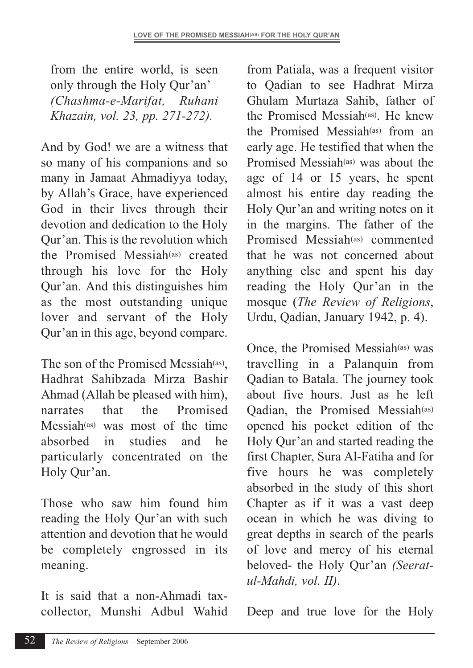from the entire world, is seen only through the Holy Qur'an' *(Chashma-e-Marifat, Ruhani Khazain, vol. 23, pp. 271-272).*

And by God! we are a witness that so many of his companions and so many in Jamaat Ahmadiyya today, by Allah's Grace, have experienced God in their lives through their devotion and dedication to the Holy Qur'an. This is the revolution which the Promised Messiah(as) created through his love for the Holy Qur'an. And this distinguishes him as the most outstanding unique lover and servant of the Holy Qur'an in this age, beyond compare.

The son of the Promised Messiah(as), Hadhrat Sahibzada Mirza Bashir Ahmad (Allah be pleased with him), narrates that the Promised Messiah(as) was most of the time absorbed in studies and he particularly concentrated on the Holy Qur'an.

Those who saw him found him reading the Holy Qur'an with such attention and devotion that he would be completely engrossed in its meaning.

It is said that a non-Ahmadi taxcollector, Munshi Adbul Wahid from Patiala, was a frequent visitor to Qadian to see Hadhrat Mirza Ghulam Murtaza Sahib, father of the Promised Messiah<sup>(as)</sup>. He knew the Promised Messiah(as) from an early age. He testified that when the Promised Messiah(as) was about the age of 14 or 15 years, he spent almost his entire day reading the Holy Qur'an and writing notes on it in the margins. The father of the Promised Messiah(as) commented that he was not concerned about anything else and spent his day reading the Holy Qur'an in the mosque (*The Review of Religions*, Urdu, Qadian, January 1942, p. 4).

Once, the Promised Messiah(as) was travelling in a Palanquin from Qadian to Batala. The journey took about five hours. Just as he left Oadian, the Promised Messiah(as) opened his pocket edition of the Holy Qur'an and started reading the first Chapter, Sura Al-Fatiha and for five hours he was completely absorbed in the study of this short Chapter as if it was a vast deep ocean in which he was diving to great depths in search of the pearls of love and mercy of his eternal beloved- the Holy Qur'an *(Seeratul-Mahdi, vol. II)*.

Deep and true love for the Holy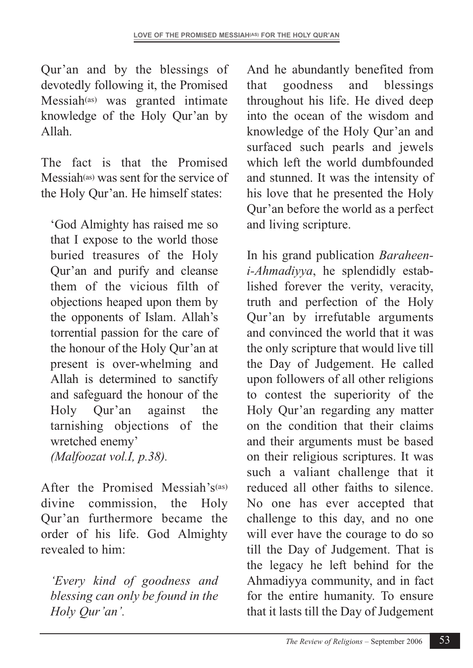Qur'an and by the blessings of devotedly following it, the Promised Messiah(as) was granted intimate knowledge of the Holy Qur'an by Allah.

The fact is that the Promised Messiah(as) was sent for the service of the Holy Qur'an. He himself states:

'God Almighty has raised me so that I expose to the world those buried treasures of the Holy Qur'an and purify and cleanse them of the vicious filth of objections heaped upon them by the opponents of Islam. Allah's torrential passion for the care of the honour of the Holy Qur'an at present is over-whelming and Allah is determined to sanctify and safeguard the honour of the Holy Qur'an against the tarnishing objections of the wretched enemy' *(Malfoozat vol.I, p.38).*

After the Promised Messiah's(as) divine commission, the Holy Qur'an furthermore became the order of his life. God Almighty revealed to him:

*'Every kind of goodness and blessing can only be found in the Holy Qur'an'.* 

And he abundantly benefited from that goodness and blessings throughout his life. He dived deep into the ocean of the wisdom and knowledge of the Holy Qur'an and surfaced such pearls and jewels which left the world dumbfounded and stunned. It was the intensity of his love that he presented the Holy Qur'an before the world as a perfect and living scripture.

In his grand publication *Baraheeni-Ahmadiyya*, he splendidly established forever the verity, veracity, truth and perfection of the Holy Qur'an by irrefutable arguments and convinced the world that it was the only scripture that would live till the Day of Judgement. He called upon followers of all other religions to contest the superiority of the Holy Qur'an regarding any matter on the condition that their claims and their arguments must be based on their religious scriptures. It was such a valiant challenge that it reduced all other faiths to silence. No one has ever accepted that challenge to this day, and no one will ever have the courage to do so till the Day of Judgement. That is the legacy he left behind for the Ahmadiyya community, and in fact for the entire humanity. To ensure that it lasts till the Day of Judgement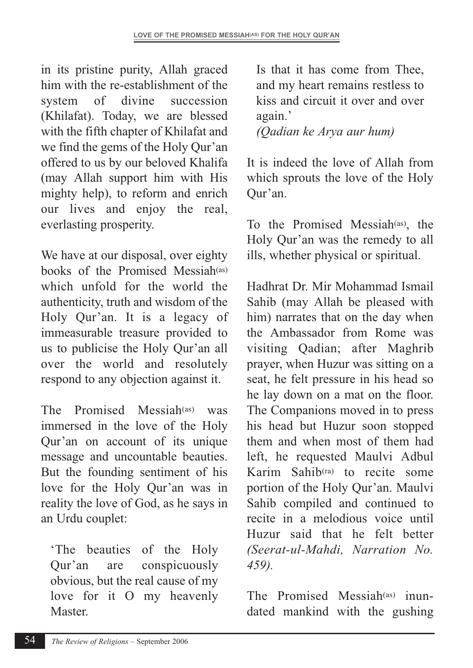in its pristine purity, Allah graced him with the re-establishment of the system of divine succession (Khilafat). Today, we are blessed with the fifth chapter of Khilafat and we find the gems of the Holy Qur'an offered to us by our beloved Khalifa (may Allah support him with His mighty help), to reform and enrich our lives and enjoy the real, everlasting prosperity.

We have at our disposal, over eighty books of the Promised Messiah(as) which unfold for the world the authenticity, truth and wisdom of the Holy Qur'an. It is a legacy of immeasurable treasure provided to us to publicise the Holy Qur'an all over the world and resolutely respond to any objection against it.

The Promised Messiah(as) was immersed in the love of the Holy Qur'an on account of its unique message and uncountable beauties. But the founding sentiment of his love for the Holy Qur'an was in reality the love of God, as he says in an Urdu couplet:

'The beauties of the Holy Qur'an are conspicuously obvious, but the real cause of my love for it O my heavenly **Master** 

Is that it has come from Thee, and my heart remains restless to kiss and circuit it over and over again.'

*(Qadian ke Arya aur hum)*

It is indeed the love of Allah from which sprouts the love of the Holy Qur'an.

To the Promised Messiah(as), the Holy Qur'an was the remedy to all ills, whether physical or spiritual.

Hadhrat Dr. Mir Mohammad Ismail Sahib (may Allah be pleased with him) narrates that on the day when the Ambassador from Rome was visiting Qadian; after Maghrib prayer, when Huzur was sitting on a seat, he felt pressure in his head so he lay down on a mat on the floor. The Companions moved in to press his head but Huzur soon stopped them and when most of them had left, he requested Maulvi Adbul Karim Sahib(ra) to recite some portion of the Holy Qur'an. Maulvi Sahib compiled and continued to recite in a melodious voice until Huzur said that he felt better *(Seerat-ul-Mahdi, Narration No. 459).*

The Promised Messiah(as) inundated mankind with the gushing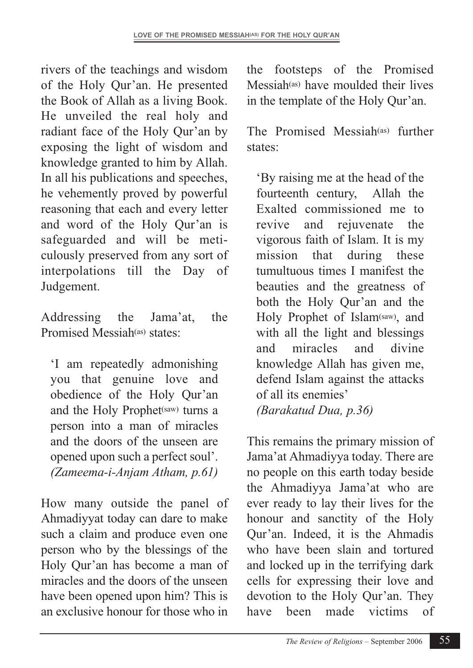rivers of the teachings and wisdom of the Holy Qur'an. He presented the Book of Allah as a living Book. He unveiled the real holy and radiant face of the Holy Qur'an by exposing the light of wisdom and knowledge granted to him by Allah. In all his publications and speeches, he vehemently proved by powerful reasoning that each and every letter and word of the Holy Qur'an is safeguarded and will be meticulously preserved from any sort of interpolations till the Day of Judgement.

Addressing the Jama'at, the Promised Messiah(as) states:

'I am repeatedly admonishing you that genuine love and obedience of the Holy Qur'an and the Holy Prophet<sup>(saw)</sup> turns a person into a man of miracles and the doors of the unseen are opened upon such a perfect soul'. *(Zameema-i-Anjam Atham, p.61)*

How many outside the panel of Ahmadiyyat today can dare to make such a claim and produce even one person who by the blessings of the Holy Qur'an has become a man of miracles and the doors of the unseen have been opened upon him? This is an exclusive honour for those who in

the footsteps of the Promised Messiah(as) have moulded their lives in the template of the Holy Qur'an.

The Promised Messiah(as) further states:

'By raising me at the head of the fourteenth century, Allah the Exalted commissioned me to revive and rejuvenate the vigorous faith of Islam. It is my mission that during these tumultuous times I manifest the beauties and the greatness of both the Holy Qur'an and the Holy Prophet of Islam<sup>(saw)</sup>, and with all the light and blessings and miracles and divine knowledge Allah has given me, defend Islam against the attacks of all its enemies' *(Barakatud Dua, p.36)*

This remains the primary mission of Jama'at Ahmadiyya today. There are no people on this earth today beside the Ahmadiyya Jama'at who are ever ready to lay their lives for the honour and sanctity of the Holy Qur'an. Indeed, it is the Ahmadis who have been slain and tortured and locked up in the terrifying dark cells for expressing their love and devotion to the Holy Qur'an. They have been made victims of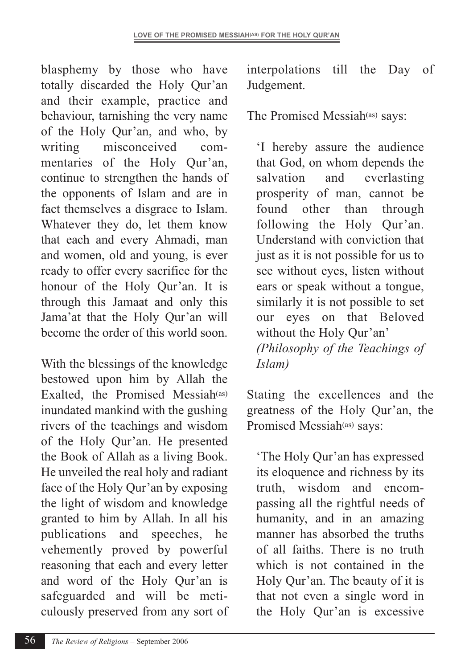blasphemy by those who have totally discarded the Holy Qur'an and their example, practice and behaviour, tarnishing the very name of the Holy Qur'an, and who, by writing misconceived commentaries of the Holy Qur'an, continue to strengthen the hands of the opponents of Islam and are in fact themselves a disgrace to Islam. Whatever they do, let them know that each and every Ahmadi, man and women, old and young, is ever ready to offer every sacrifice for the honour of the Holy Qur'an. It is through this Jamaat and only this Jama'at that the Holy Qur'an will become the order of this world soon.

With the blessings of the knowledge bestowed upon him by Allah the Exalted, the Promised Messiah(as) inundated mankind with the gushing rivers of the teachings and wisdom of the Holy Qur'an. He presented the Book of Allah as a living Book. He unveiled the real holy and radiant face of the Holy Qur'an by exposing the light of wisdom and knowledge granted to him by Allah. In all his publications and speeches, he vehemently proved by powerful reasoning that each and every letter and word of the Holy Qur'an is safeguarded and will be meticulously preserved from any sort of interpolations till the Day of Judgement.

The Promised Messiah(as) says:

'I hereby assure the audience that God, on whom depends the salvation and everlasting prosperity of man, cannot be found other than through following the Holy Qur'an. Understand with conviction that just as it is not possible for us to see without eyes, listen without ears or speak without a tongue, similarly it is not possible to set our eyes on that Beloved without the Holy Qur'an' *(Philosophy of the Teachings of Islam)*

Stating the excellences and the greatness of the Holy Qur'an, the Promised Messiah(as) says:

'The Holy Qur'an has expressed its eloquence and richness by its truth, wisdom and encompassing all the rightful needs of humanity, and in an amazing manner has absorbed the truths of all faiths. There is no truth which is not contained in the Holy Qur'an. The beauty of it is that not even a single word in the Holy Qur'an is excessive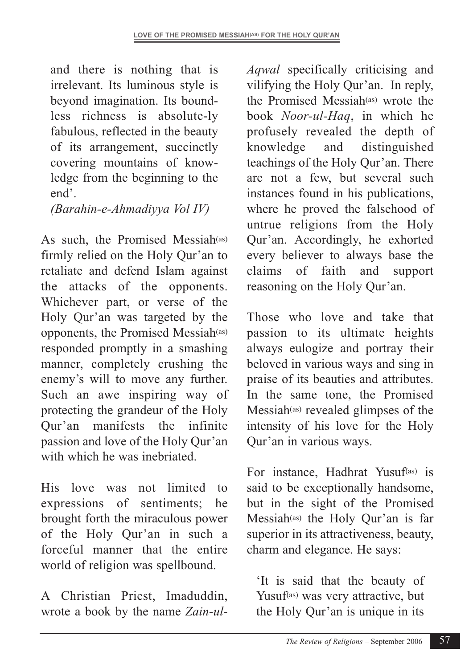and there is nothing that is irrelevant. Its luminous style is beyond imagination. Its boundless richness is absolute-ly fabulous, reflected in the beauty of its arrangement, succinctly covering mountains of knowledge from the beginning to the end'.

*(Barahin-e-Ahmadiyya Vol IV)*

As such, the Promised Messiah(as) firmly relied on the Holy Qur'an to retaliate and defend Islam against the attacks of the opponents. Whichever part, or verse of the Holy Qur'an was targeted by the opponents, the Promised Messiah(as) responded promptly in a smashing manner, completely crushing the enemy's will to move any further. Such an awe inspiring way of protecting the grandeur of the Holy Qur'an manifests the infinite passion and love of the Holy Qur'an with which he was inebriated.

His love was not limited to expressions of sentiments; he brought forth the miraculous power of the Holy Qur'an in such a forceful manner that the entire world of religion was spellbound.

A Christian Priest, Imaduddin, wrote a book by the name *Zain-ul-* *Aqwal* specifically criticising and vilifying the Holy Qur'an. In reply, the Promised Messiah(as) wrote the book *Noor-ul-Haq*, in which he profusely revealed the depth of knowledge and distinguished teachings of the Holy Qur'an. There are not a few, but several such instances found in his publications, where he proved the falsehood of untrue religions from the Holy Qur'an. Accordingly, he exhorted every believer to always base the claims of faith and support reasoning on the Holy Qur'an.

Those who love and take that passion to its ultimate heights always eulogize and portray their beloved in various ways and sing in praise of its beauties and attributes. In the same tone, the Promised Messiah<sup>(as)</sup> revealed glimpses of the intensity of his love for the Holy Qur'an in various ways.

For instance, Hadhrat Yusuf<sup>(as)</sup> is said to be exceptionally handsome, but in the sight of the Promised Messiah(as) the Holy Qur'an is far superior in its attractiveness, beauty, charm and elegance. He says:

'It is said that the beauty of Yusuf<sup>(as)</sup> was very attractive, but the Holy Qur'an is unique in its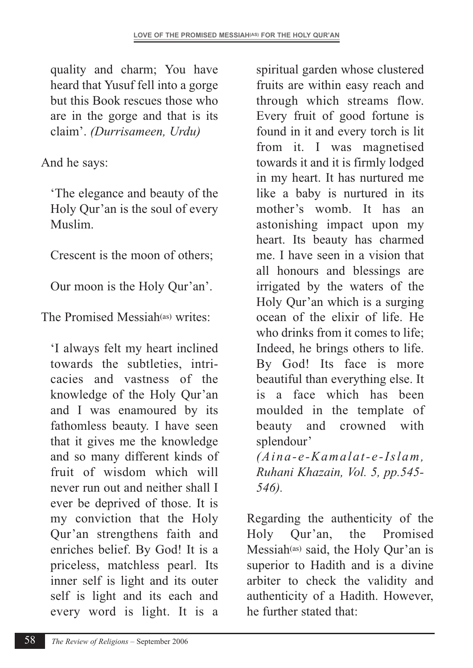quality and charm; You have heard that Yusuf fell into a gorge but this Book rescues those who are in the gorge and that is its claim'. *(Durrisameen, Urdu)*

And he says:

'The elegance and beauty of the Holy Qur'an is the soul of every Muslim.

Crescent is the moon of others;

Our moon is the Holy Qur'an'.

The Promised Messiah(as) writes:

'I always felt my heart inclined towards the subtleties, intricacies and vastness of the knowledge of the Holy Qur'an and I was enamoured by its fathomless beauty. I have seen that it gives me the knowledge and so many different kinds of fruit of wisdom which will never run out and neither shall I ever be deprived of those. It is my conviction that the Holy Qur'an strengthens faith and enriches belief. By God! It is a priceless, matchless pearl. Its inner self is light and its outer self is light and its each and every word is light. It is a

spiritual garden whose clustered fruits are within easy reach and through which streams flow. Every fruit of good fortune is found in it and every torch is lit from it. I was magnetised towards it and it is firmly lodged in my heart. It has nurtured me like a baby is nurtured in its mother's womb. It has an astonishing impact upon my heart. Its beauty has charmed me. I have seen in a vision that all honours and blessings are irrigated by the waters of the Holy Qur'an which is a surging ocean of the elixir of life. He who drinks from it comes to life; Indeed, he brings others to life. By God! Its face is more beautiful than everything else. It is a face which has been moulded in the template of beauty and crowned with splendour'

*(Aina-e-Kamalat-e-Islam, Ruhani Khazain, Vol. 5, pp.545- 546).*

Regarding the authenticity of the Holy Qur'an, the Promised Messiah<sup>(as)</sup> said, the Holy Our'an is superior to Hadith and is a divine arbiter to check the validity and authenticity of a Hadith. However, he further stated that: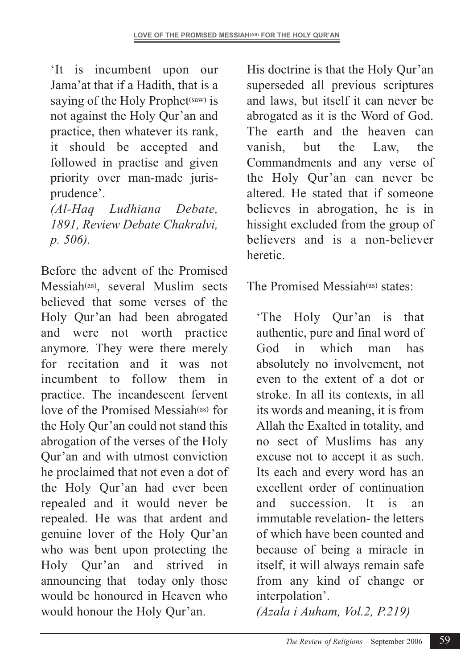'It is incumbent upon our Jama'at that if a Hadith, that is a saying of the Holy Prophet<sup>(saw)</sup> is not against the Holy Qur'an and practice, then whatever its rank, it should be accepted and followed in practise and given priority over man-made jurisprudence'.

*(Al-Haq Ludhiana Debate, 1891, Review Debate Chakralvi, p. 506).*

Before the advent of the Promised Messiah(as), several Muslim sects believed that some verses of the Holy Qur'an had been abrogated and were not worth practice anymore. They were there merely for recitation and it was not incumbent to follow them in practice. The incandescent fervent love of the Promised Messiah(as) for the Holy Qur'an could not stand this abrogation of the verses of the Holy Qur'an and with utmost conviction he proclaimed that not even a dot of the Holy Qur'an had ever been repealed and it would never be repealed. He was that ardent and genuine lover of the Holy Qur'an who was bent upon protecting the Holy Qur'an and strived in announcing that today only those would be honoured in Heaven who would honour the Holy Qur'an.

His doctrine is that the Holy Qur'an superseded all previous scriptures and laws, but itself it can never be abrogated as it is the Word of God. The earth and the heaven can vanish, but the Law, the Commandments and any verse of the Holy Qur'an can never be altered. He stated that if someone believes in abrogation, he is in hissight excluded from the group of believers and is a non-believer heretic.

The Promised Messiah(as) states:

'The Holy Qur'an is that authentic, pure and final word of God in which man has absolutely no involvement, not even to the extent of a dot or stroke. In all its contexts, in all its words and meaning, it is from Allah the Exalted in totality, and no sect of Muslims has any excuse not to accept it as such. Its each and every word has an excellent order of continuation and succession. It is an immutable revelation- the letters of which have been counted and because of being a miracle in itself, it will always remain safe from any kind of change or interpolation'.

*(Azala i Auham, Vol.2, P.219)*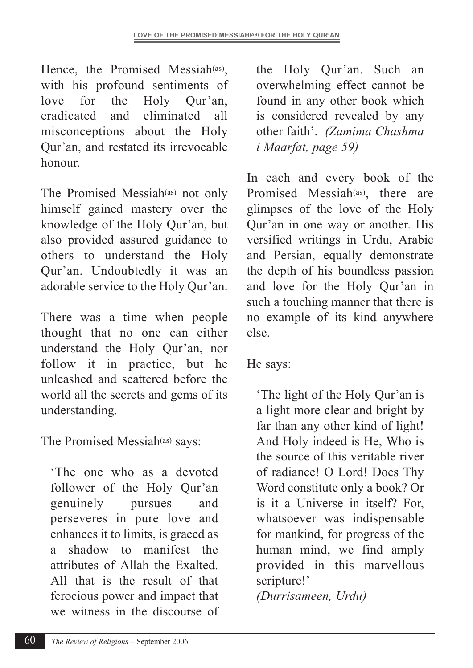Hence, the Promised Messiah(as), with his profound sentiments of love for the Holy Qur'an, eradicated and eliminated all misconceptions about the Holy Qur'an, and restated its irrevocable honour.

The Promised Messiah(as) not only himself gained mastery over the knowledge of the Holy Qur'an, but also provided assured guidance to others to understand the Holy Qur'an. Undoubtedly it was an adorable service to the Holy Qur'an.

There was a time when people thought that no one can either understand the Holy Qur'an, nor follow it in practice, but he unleashed and scattered before the world all the secrets and gems of its understanding.

The Promised Messiah(as) says:

'The one who as a devoted follower of the Holy Qur'an genuinely pursues and perseveres in pure love and enhances it to limits, is graced as a shadow to manifest the attributes of Allah the Exalted. All that is the result of that ferocious power and impact that we witness in the discourse of the Holy Qur'an. Such an overwhelming effect cannot be found in any other book which is considered revealed by any other faith'. *(Zamima Chashma i Maarfat, page 59)*

In each and every book of the Promised Messiah(as), there are glimpses of the love of the Holy Qur'an in one way or another. His versified writings in Urdu, Arabic and Persian, equally demonstrate the depth of his boundless passion and love for the Holy Qur'an in such a touching manner that there is no example of its kind anywhere else.

He says:

'The light of the Holy Qur'an is a light more clear and bright by far than any other kind of light! And Holy indeed is He, Who is the source of this veritable river of radiance! O Lord! Does Thy Word constitute only a book? Or is it a Universe in itself? For, whatsoever was indispensable for mankind, for progress of the human mind, we find amply provided in this marvellous scripture!'

*(Durrisameen, Urdu)*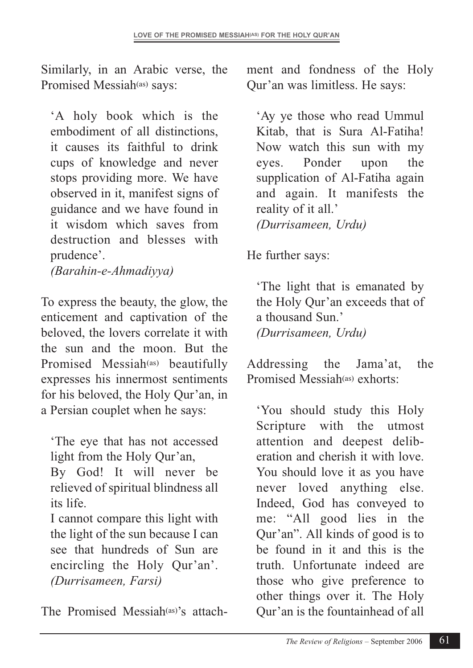Similarly, in an Arabic verse, the Promised Messiah(as) says:

'A holy book which is the embodiment of all distinctions, it causes its faithful to drink cups of knowledge and never stops providing more. We have observed in it, manifest signs of guidance and we have found in it wisdom which saves from destruction and blesses with prudence'.

*(Barahin-e-Ahmadiyya)*

To express the beauty, the glow, the enticement and captivation of the beloved, the lovers correlate it with the sun and the moon. But the Promised Messiah<sup>(as)</sup> beautifully expresses his innermost sentiments for his beloved, the Holy Qur'an, in a Persian couplet when he says:

'The eye that has not accessed light from the Holy Qur'an,

By God! It will never be relieved of spiritual blindness all its life.

I cannot compare this light with the light of the sun because I can see that hundreds of Sun are encircling the Holy Qur'an'. *(Durrisameen, Farsi)*

The Promised Messiah(as)'s attach-

ment and fondness of the Holy Qur'an was limitless. He says:

'Ay ye those who read Ummul Kitab, that is Sura Al-Fatiha! Now watch this sun with my eyes. Ponder upon the supplication of Al-Fatiha again and again. It manifests the reality of it all.' *(Durrisameen, Urdu)*

He further says:

'The light that is emanated by the Holy Qur'an exceeds that of a thousand Sun.' *(Durrisameen, Urdu)*

Addressing the Jama'at, the Promised Messiah(as) exhorts:

'You should study this Holy Scripture with the utmost attention and deepest deliberation and cherish it with love. You should love it as you have never loved anything else. Indeed, God has conveyed to me: "All good lies in the Qur'an". All kinds of good is to be found in it and this is the truth. Unfortunate indeed are those who give preference to other things over it. The Holy Qur'an is the fountainhead of all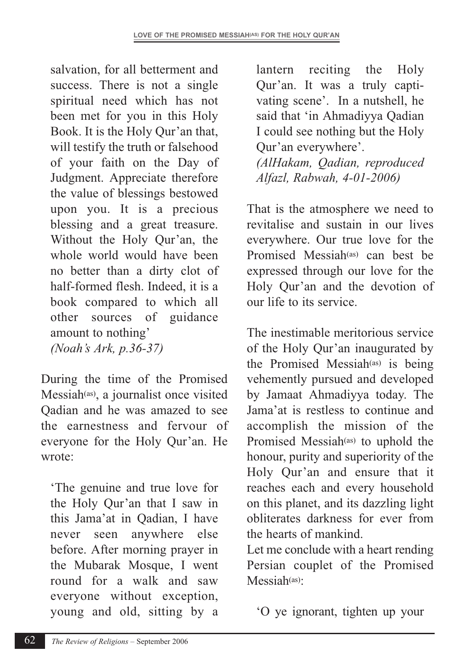salvation, for all betterment and success. There is not a single spiritual need which has not been met for you in this Holy Book. It is the Holy Qur'an that, will testify the truth or falsehood of your faith on the Day of Judgment. Appreciate therefore the value of blessings bestowed upon you. It is a precious blessing and a great treasure. Without the Holy Qur'an, the whole world would have been no better than a dirty clot of half-formed flesh. Indeed, it is a book compared to which all other sources of guidance amount to nothing' *(Noah's Ark, p.36-37)*

During the time of the Promised Messiah<sup>(as)</sup>, a journalist once visited Qadian and he was amazed to see the earnestness and fervour of everyone for the Holy Qur'an. He wrote:

'The genuine and true love for the Holy Qur'an that I saw in this Jama'at in Qadian, I have never seen anywhere else before. After morning prayer in the Mubarak Mosque, I went round for a walk and saw everyone without exception, young and old, sitting by a lantern reciting the Holy Qur'an. It was a truly captivating scene'. In a nutshell, he said that 'in Ahmadiyya Qadian I could see nothing but the Holy Qur'an everywhere'. *(AlHakam, Qadian, reproduced Alfazl, Rabwah, 4-01-2006)*

That is the atmosphere we need to revitalise and sustain in our lives everywhere. Our true love for the Promised Messiah(as) can best be expressed through our love for the Holy Qur'an and the devotion of our life to its service.

The inestimable meritorious service of the Holy Qur'an inaugurated by the Promised Messiah<sup>(as)</sup> is being vehemently pursued and developed by Jamaat Ahmadiyya today. The Jama'at is restless to continue and accomplish the mission of the Promised Messiah(as) to uphold the honour, purity and superiority of the Holy Qur'an and ensure that it reaches each and every household on this planet, and its dazzling light obliterates darkness for ever from the hearts of mankind.

Let me conclude with a heart rending Persian couplet of the Promised Messiah(as):

'O ye ignorant, tighten up your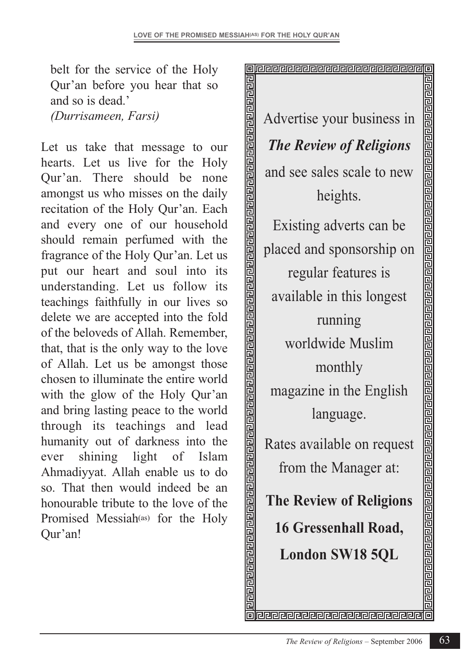belt for the service of the Holy Qur'an before you hear that so and so is dead.' *(Durrisameen, Farsi)*

Let us take that message to our hearts. Let us live for the Holy Qur'an. There should be none amongst us who misses on the daily recitation of the Holy Qur'an. Each and every one of our household should remain perfumed with the fragrance of the Holy Qur'an. Let us put our heart and soul into its understanding. Let us follow its teachings faithfully in our lives so delete we are accepted into the fold of the beloveds of Allah. Remember, that, that is the only way to the love of Allah. Let us be amongst those chosen to illuminate the entire world with the glow of the Holy Qur'an and bring lasting peace to the world through its teachings and lead humanity out of darkness into the ever shining light of Islam Ahmadiyyat. Allah enable us to do so. That then would indeed be an honourable tribute to the love of the Promised Messiah(as) for the Holy Qur'an!

阊 Advertise your business in *The Review of Religions* and see sales scale to new heights. Existing adverts can be placed and sponsorship on regular features is available in this longest running worldwide Muslim monthly magazine in the English language. Rates available on request from the Manager at: **The Review of Religions 16 Gressenhall Road, London SW18 5QL**

<u> ग्रत्राग्रत्नगरागरागरागरागरागरागराणि ज</u>